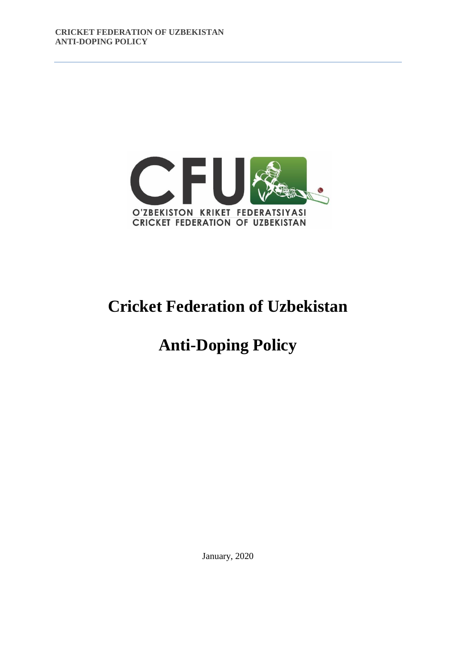

# **Cricket Federation of Uzbekistan**

# **Anti-Doping Policy**

January, 2020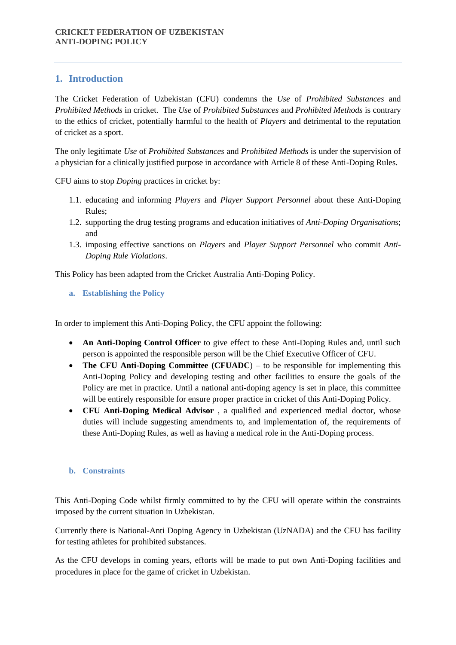# **1. Introduction**

The Cricket Federation of Uzbekistan (CFU) condemns the *Use* of *Prohibited Substances* and *Prohibited Methods* in cricket. The *Use* of *Prohibited Substances* and *Prohibited Methods* is contrary to the ethics of cricket, potentially harmful to the health of *Players* and detrimental to the reputation of cricket as a sport.

The only legitimate *Use* of *Prohibited Substances* and *Prohibited Methods* is under the supervision of a physician for a clinically justified purpose in accordance with Article 8 of these Anti-Doping Rules.

CFU aims to stop *Doping* practices in cricket by:

- 1.1. educating and informing *Players* and *Player Support Personnel* about these Anti-Doping Rules;
- 1.2. supporting the drug testing programs and education initiatives of *Anti-Doping Organisation*s; and
- 1.3. imposing effective sanctions on *Players* and *Player Support Personnel* who commit *Anti-Doping Rule Violations*.

This Policy has been adapted from the Cricket Australia Anti-Doping Policy.

**a. Establishing the Policy**

In order to implement this Anti-Doping Policy, the CFU appoint the following:

- **An Anti-Doping Control Officer** to give effect to these Anti-Doping Rules and, until such person is appointed the responsible person will be the Chief Executive Officer of CFU.
- **The CFU Anti-Doping Committee (CFUADC**) to be responsible for implementing this Anti-Doping Policy and developing testing and other facilities to ensure the goals of the Policy are met in practice. Until a national anti-doping agency is set in place, this committee will be entirely responsible for ensure proper practice in cricket of this Anti-Doping Policy.
- **CFU Anti-Doping Medical Advisor** , a qualified and experienced medial doctor, whose duties will include suggesting amendments to, and implementation of, the requirements of these Anti-Doping Rules, as well as having a medical role in the Anti-Doping process.

#### **b. Constraints**

This Anti-Doping Code whilst firmly committed to by the CFU will operate within the constraints imposed by the current situation in Uzbekistan.

Currently there is National-Anti Doping Agency in Uzbekistan (UzNADA) and the CFU has facility for testing athletes for prohibited substances.

As the CFU develops in coming years, efforts will be made to put own Anti-Doping facilities and procedures in place for the game of cricket in Uzbekistan.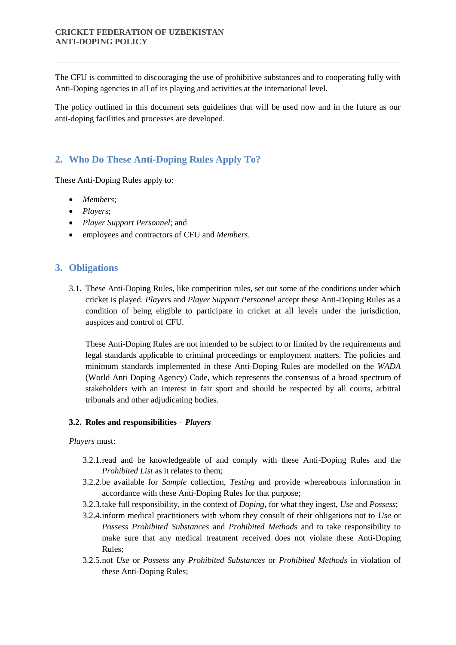The CFU is committed to discouraging the use of prohibitive substances and to cooperating fully with Anti-Doping agencies in all of its playing and activities at the international level.

The policy outlined in this document sets guidelines that will be used now and in the future as our anti-doping facilities and processes are developed.

# **2. Who Do These Anti-Doping Rules Apply To?**

These Anti-Doping Rules apply to:

- *Members*;
- *Player*s;
- *Player Support Personnel*; and
- employees and contractors of CFU and *Members*.

# **3. Obligations**

3.1. These Anti-Doping Rules, like competition rules, set out some of the conditions under which cricket is played. *Player*s and *Player Support Personnel* accept these Anti-Doping Rules as a condition of being eligible to participate in cricket at all levels under the jurisdiction, auspices and control of CFU.

These Anti-Doping Rules are not intended to be subject to or limited by the requirements and legal standards applicable to criminal proceedings or employment matters. The policies and minimum standards implemented in these Anti-Doping Rules are modelled on the *WADA* (World Anti Doping Agency) Code, which represents the consensus of a broad spectrum of stakeholders with an interest in fair sport and should be respected by all courts, arbitral tribunals and other adjudicating bodies.

## **3.2. Roles and responsibilities –** *Players*

#### *Players* must:

- 3.2.1.read and be knowledgeable of and comply with these Anti-Doping Rules and the *Prohibited List* as it relates to them;
- 3.2.2.be available for *Sample* collection, *Testing* and provide whereabouts information in accordance with these Anti-Doping Rules for that purpose;
- 3.2.3.take full responsibility, in the context of *Doping*, for what they ingest, *Use* and *Possess*;
- 3.2.4.inform medical practitioners with whom they consult of their obligations not to *Use* or *Possess Prohibited Substances* and *Prohibited Method*s and to take responsibility to make sure that any medical treatment received does not violate these Anti-Doping Rules;
- 3.2.5.not *Use* or *Possess* any *Prohibited Substances* or *Prohibited Methods* in violation of these Anti-Doping Rules;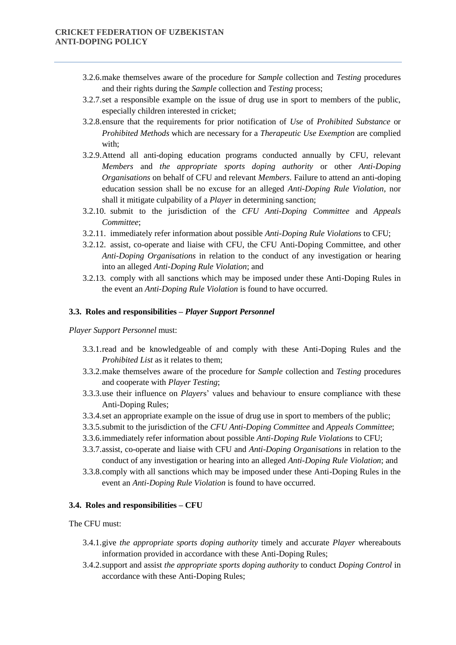- 3.2.6.make themselves aware of the procedure for *Sample* collection and *Testing* procedures and their rights during the *Sample* collection and *Testing* process;
- 3.2.7.set a responsible example on the issue of drug use in sport to members of the public, especially children interested in cricket;
- 3.2.8.ensure that the requirements for prior notification of *Use* of *Prohibited Substance* or *Prohibited Methods* which are necessary for a *Therapeutic Use Exemption* are complied with;
- 3.2.9.Attend all anti-doping education programs conducted annually by CFU, relevant *Members* and *the appropriate sports doping authority* or other *Anti-Doping Organisations* on behalf of CFU and relevant *Members*. Failure to attend an anti-doping education session shall be no excuse for an alleged *Anti-Doping Rule Violation*, nor shall it mitigate culpability of a *Player* in determining sanction;
- 3.2.10. submit to the jurisdiction of the *CFU Anti-Doping Committee* and *Appeals Committee*;
- 3.2.11. immediately refer information about possible *Anti-Doping Rule Violations* to CFU;
- 3.2.12. assist, co-operate and liaise with CFU, the CFU Anti-Doping Committee, and other *Anti-Doping Organisations* in relation to the conduct of any investigation or hearing into an alleged *Anti-Doping Rule Violation*; and
- 3.2.13. comply with all sanctions which may be imposed under these Anti-Doping Rules in the event an *Anti-Doping Rule Violation* is found to have occurred.

#### **3.3. Roles and responsibilities –** *Player Support Personnel*

*Player Support Personnel* must:

- 3.3.1.read and be knowledgeable of and comply with these Anti-Doping Rules and the *Prohibited List* as it relates to them;
- 3.3.2.make themselves aware of the procedure for *Sample* collection and *Testing* procedures and cooperate with *Player Testing*;
- 3.3.3.use their influence on *Player*s' values and behaviour to ensure compliance with these Anti-Doping Rules;
- 3.3.4.set an appropriate example on the issue of drug use in sport to members of the public;
- 3.3.5.submit to the jurisdiction of the *CFU Anti-Doping Committee* and *Appeals Committee*;
- 3.3.6.immediately refer information about possible *Anti-Doping Rule Violations* to CFU;
- 3.3.7.assist, co-operate and liaise with CFU and *Anti-Doping Organisations* in relation to the conduct of any investigation or hearing into an alleged *Anti-Doping Rule Violation*; and
- 3.3.8.comply with all sanctions which may be imposed under these Anti-Doping Rules in the event an *Anti-Doping Rule Violation* is found to have occurred.

#### **3.4. Roles and responsibilities – CFU**

The CFU must:

- 3.4.1.give *the appropriate sports doping authority* timely and accurate *Player* whereabouts information provided in accordance with these Anti-Doping Rules;
- 3.4.2.support and assist *the appropriate sports doping authority* to conduct *Doping Control* in accordance with these Anti-Doping Rules;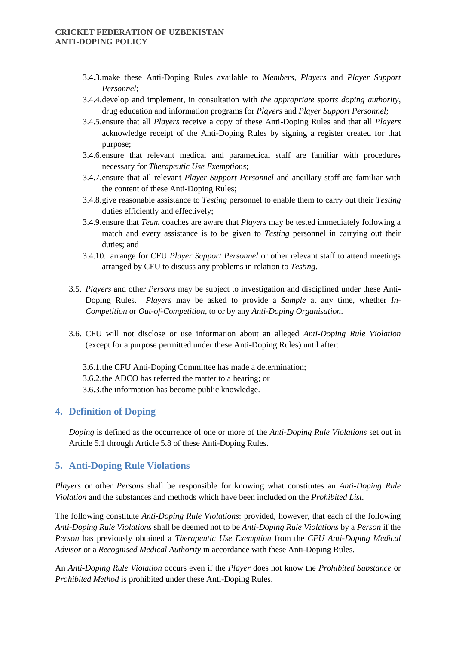- 3.4.3.make these Anti-Doping Rules available to *Members, Players* and *Player Support Personnel*;
- 3.4.4.develop and implement, in consultation with *the appropriate sports doping authority*, drug education and information programs for *Players* and *Player Support Personnel*;
- 3.4.5.ensure that all *Players* receive a copy of these Anti-Doping Rules and that all *Players*  acknowledge receipt of the Anti-Doping Rules by signing a register created for that purpose;
- 3.4.6.ensure that relevant medical and paramedical staff are familiar with procedures necessary for *Therapeutic Use Exemptions*;
- 3.4.7.ensure that all relevant *Player Support Personnel* and ancillary staff are familiar with the content of these Anti-Doping Rules;
- 3.4.8.give reasonable assistance to *Testing* personnel to enable them to carry out their *Testing*  duties efficiently and effectively;
- 3.4.9.ensure that *Team* coaches are aware that *Players* may be tested immediately following a match and every assistance is to be given to *Testing* personnel in carrying out their duties; and
- 3.4.10. arrange for CFU *Player Support Personnel* or other relevant staff to attend meetings arranged by CFU to discuss any problems in relation to *Testing*.
- 3.5. *Players* and other *Persons* may be subject to investigation and disciplined under these Anti-Doping Rules. *Players* may be asked to provide a *Sample* at any time, whether *In-Competition* or *Out-of-Competition*, to or by any *Anti-Doping Organisation*.
- 3.6. CFU will not disclose or use information about an alleged *Anti-Doping Rule Violation* (except for a purpose permitted under these Anti-Doping Rules) until after:
	- 3.6.1.the CFU Anti-Doping Committee has made a determination; 3.6.2.the ADCO has referred the matter to a hearing; or 3.6.3.the information has become public knowledge.

# **4. Definition of Doping**

*Doping* is defined as the occurrence of one or more of the *Anti-Doping Rule Violations* set out in Article 5.1 through Article 5.8 of these Anti-Doping Rules.

## **5. Anti-Doping Rule Violations**

*Players* or other *Persons* shall be responsible for knowing what constitutes an *Anti-Doping Rule Violation* and the substances and methods which have been included on the *Prohibited List.* 

The following constitute *Anti-Doping Rule Violations*: provided, however, that each of the following *Anti-Doping Rule Violations* shall be deemed not to be *Anti-Doping Rule Violations* by a *Person* if the *Person* has previously obtained a *Therapeutic Use Exemption* from the *CFU Anti-Doping Medical Advisor* or a *Recognised Medical Authority* in accordance with these Anti-Doping Rules.

An *Anti-Doping Rule Violation* occurs even if the *Player* does not know the *Prohibited Substance* or *Prohibited Method* is prohibited under these Anti-Doping Rules.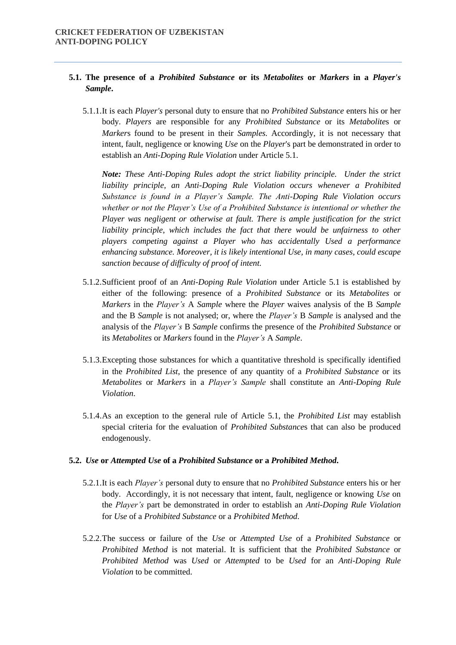# **5.1. The presence of a** *Prohibited Substance* **or its** *Metabolites* **or** *Markers* **in a** *Player's Sample***.**

5.1.1.It is each *Player's* personal duty to ensure that no *Prohibited Substance* enters his or her body. *Players* are responsible for any *Prohibited Substance* or its *Metabolite*s or *Marker*s found to be present in their *Samples.* Accordingly, it is not necessary that intent, fault, negligence or knowing *Use* on the *Player*'s part be demonstrated in order to establish an *Anti-Doping Rule Violation* under Article 5.1.

*Note: These Anti-Doping Rules adopt the strict liability principle. Under the strict liability principle, an Anti-Doping Rule Violation occurs whenever a Prohibited Substance is found in a Player's Sample. The Anti-Doping Rule Violation occurs whether or not the Player's Use of a Prohibited Substance is intentional or whether the Player was negligent or otherwise at fault. There is ample justification for the strict*  liability principle, which includes the fact that there would be unfairness to other *players competing against a Player who has accidentally Used a performance enhancing substance. Moreover, it is likely intentional Use, in many cases, could escape sanction because of difficulty of proof of intent.* 

- 5.1.2.Sufficient proof of an *Anti-Doping Rule Violation* under Article 5.1 is established by either of the following: presence of a *Prohibited Substance* or its *Metabolites* or *Markers* in the *Player's* A *Sample* where the *Player* waives analysis of the B *Sample* and the B *Sample* is not analysed; or, where the *Player's* B *Sample* is analysed and the analysis of the *Player's* B *Sample* confirms the presence of the *Prohibited Substance* or its *Metabolites* or *Markers* found in the *Player's* A *Sample*.
- 5.1.3.Excepting those substances for which a quantitative threshold is specifically identified in the *Prohibited List*, the presence of any quantity of a *Prohibited Substance* or its *Metabolites* or *Markers* in a *Player's Sample* shall constitute an *Anti-Doping Rule Violation*.
- 5.1.4.As an exception to the general rule of Article 5.1, the *Prohibited List* may establish special criteria for the evaluation of *Prohibited Substance*s that can also be produced endogenously.

#### **5.2.** *Use* **or** *Attempted Use* **of a** *Prohibited Substance* **or a** *Prohibited Method***.**

- 5.2.1.It is each *Player's* personal duty to ensure that no *Prohibited Substance* enters his or her body. Accordingly, it is not necessary that intent, fault, negligence or knowing *Use* on the *Player's* part be demonstrated in order to establish an *Anti-Doping Rule Violation*  for *Use* of a *Prohibited Substance* or a *Prohibited Method*.
- 5.2.2.The success or failure of the *Use* or *Attempted Use* of a *Prohibited Substance* or *Prohibited Method* is not material. It is sufficient that the *Prohibited Substance* or *Prohibited Method* was *Used* or *Attempted* to be *Used* for an *Anti-Doping Rule Violation* to be committed.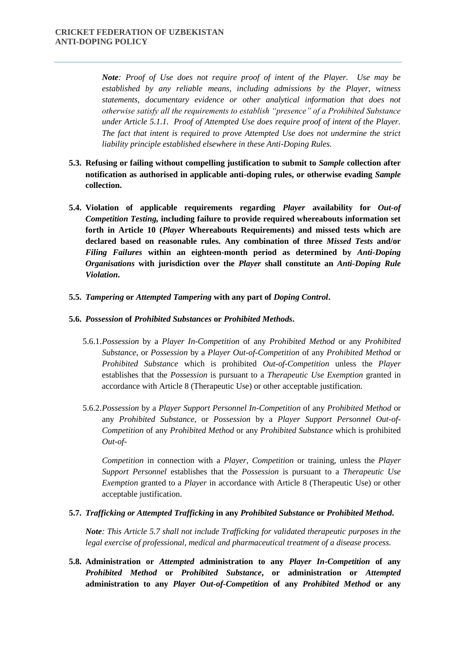*Note: Proof of Use does not require proof of intent of the Player. Use may be established by any reliable means, including admissions by the Player, witness statements, documentary evidence or other analytical information that does not otherwise satisfy all the requirements to establish "presence" of a Prohibited Substance under Article 5.1.1. Proof of Attempted Use does require proof of intent of the Player. The fact that intent is required to prove Attempted Use does not undermine the strict liability principle established elsewhere in these Anti-Doping Rules.* 

- **5.3. Refusing or failing without compelling justification to submit to** *Sample* **collection after notification as authorised in applicable anti-doping rules, or otherwise evading** *Sample* **collection.**
- **5.4. Violation of applicable requirements regarding** *Player* **availability for** *Out-of Competition Testing,* **including failure to provide required whereabouts information set forth in Article 10 (***Player* **Whereabouts Requirements) and missed tests which are declared based on reasonable rules. Any combination of three** *Missed Tests* **and/or**  *Filing Failures* **within an eighteen-month period as determined by** *Anti-Doping Organisations* **with jurisdiction over the** *Player* **shall constitute an** *Anti-Doping Rule Violation***.**
- **5.5.** *Tampering* **or** *Attempted Tampering* **with any part of** *Doping Control***.**

#### **5.6.** *Possession* **of** *Prohibited Substances* **or** *Prohibited Methods***.**

- 5.6.1.*Possession* by a *Player In-Competition* of any *Prohibited Method* or any *Prohibited Substance*, or *Possession* by a *Player Out-of-Competition* of any *Prohibited Method* or *Prohibited Substance* which is prohibited *Out-of-Competition* unless the *Player*  establishes that the *Possession* is pursuant to a *Therapeutic Use Exemption* granted in accordance with Article 8 (Therapeutic Use) or other acceptable justification.
- 5.6.2.*Possession* by a *Player Support Personnel In-Competition* of any *Prohibited Method* or any *Prohibited Substance*, or *Possession* by a *Player Support Personnel Out-of-Competition* of any *Prohibited Method* or any *Prohibited Substance* which is prohibited *Out-of-*

*Competition* in connection with a *Player*, *Competition* or training, unless the *Player Support Personnel* establishes that the *Possession* is pursuant to a *Therapeutic Use Exemption* granted to a *Player* in accordance with Article 8 (Therapeutic Use) or other acceptable justification.

#### **5.7.** *Trafficking or Attempted Trafficking* **in any** *Prohibited Substance* **or** *Prohibited Method***.**

*Note: This Article 5.7 shall not include Trafficking for validated therapeutic purposes in the legal exercise of professional, medical and pharmaceutical treatment of a disease process.* 

**5.8. Administration or** *Attempted* **administration to any** *Player In-Competition* **of any**  *Prohibited Method* **or** *Prohibited Substance***, or administration or** *Attempted* **administration to any** *Player Out-of-Competition* **of any** *Prohibited Method* **or any**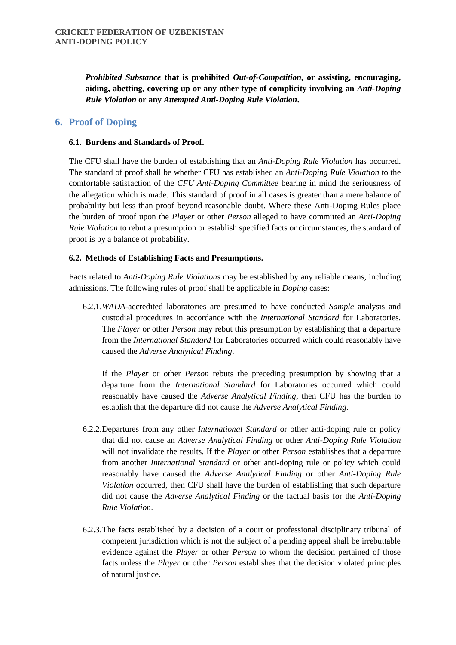*Prohibited Substance* **that is prohibited** *Out-of-Competition***, or assisting, encouraging, aiding, abetting, covering up or any other type of complicity involving an** *Anti-Doping Rule Violation* **or any** *Attempted Anti-Doping Rule Violation***.** 

# **6. Proof of Doping**

#### **6.1. Burdens and Standards of Proof.**

The CFU shall have the burden of establishing that an *Anti-Doping Rule Violation* has occurred. The standard of proof shall be whether CFU has established an *Anti-Doping Rule Violation* to the comfortable satisfaction of the *CFU Anti-Doping Committee* bearing in mind the seriousness of the allegation which is made. This standard of proof in all cases is greater than a mere balance of probability but less than proof beyond reasonable doubt. Where these Anti-Doping Rules place the burden of proof upon the *Player* or other *Person* alleged to have committed an *Anti-Doping Rule Violation* to rebut a presumption or establish specified facts or circumstances, the standard of proof is by a balance of probability.

#### **6.2. Methods of Establishing Facts and Presumptions.**

Facts related to *Anti-Doping Rule Violations* may be established by any reliable means, including admissions. The following rules of proof shall be applicable in *Doping* cases:

6.2.1.*WADA*-accredited laboratories are presumed to have conducted *Sample* analysis and custodial procedures in accordance with the *International Standard* for Laboratories. The *Player* or other *Person* may rebut this presumption by establishing that a departure from the *International Standard* for Laboratories occurred which could reasonably have caused the *Adverse Analytical Finding*.

If the *Player* or other *Person* rebuts the preceding presumption by showing that a departure from the *International Standard* for Laboratories occurred which could reasonably have caused the *Adverse Analytical Finding*, then CFU has the burden to establish that the departure did not cause the *Adverse Analytical Finding*.

- 6.2.2.Departures from any other *International Standard* or other anti-doping rule or policy that did not cause an *Adverse Analytical Finding* or other *Anti-Doping Rule Violation*  will not invalidate the results. If the *Player* or other *Person* establishes that a departure from another *International Standard* or other anti-doping rule or policy which could reasonably have caused the *Adverse Analytical Finding* or other *Anti-Doping Rule Violation* occurred, then CFU shall have the burden of establishing that such departure did not cause the *Adverse Analytical Finding* or the factual basis for the *Anti-Doping Rule Violation*.
- 6.2.3.The facts established by a decision of a court or professional disciplinary tribunal of competent jurisdiction which is not the subject of a pending appeal shall be irrebuttable evidence against the *Player* or other *Person* to whom the decision pertained of those facts unless the *Player* or other *Person* establishes that the decision violated principles of natural justice.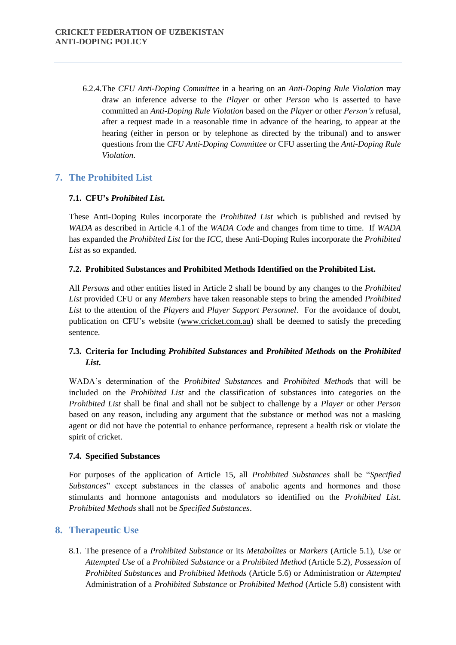6.2.4.The *CFU Anti-Doping Committee* in a hearing on an *Anti-Doping Rule Violation* may draw an inference adverse to the *Player* or other *Person* who is asserted to have committed an *Anti-Doping Rule Violation* based on the *Player* or other *Person's* refusal, after a request made in a reasonable time in advance of the hearing, to appear at the hearing (either in person or by telephone as directed by the tribunal) and to answer questions from the *CFU Anti-Doping Committee* or CFU asserting the *Anti-Doping Rule Violation*.

# **7. The Prohibited List**

## **7.1. CFU's** *Prohibited List***.**

These Anti-Doping Rules incorporate the *Prohibited List* which is published and revised by *WADA* as described in Article 4.1 of the *WADA Code* and changes from time to time. If *WADA*  has expanded the *Prohibited List* for the *ICC*, these Anti-Doping Rules incorporate the *Prohibited List* as so expanded.

## **7.2. Prohibited Substances and Prohibited Methods Identified on the Prohibited List.**

All *Persons* and other entities listed in Article 2 shall be bound by any changes to the *Prohibited List* provided CFU or any *Members* have taken reasonable steps to bring the amended *Prohibited List* to the attention of the *Players* and *Player Support Personnel*. For the avoidance of doubt, publication on CFU's website (www.cricket.com.au) shall be deemed to satisfy the preceding sentence.

# **7.3. Criteria for Including** *Prohibited Substances* **and** *Prohibited Methods* **on the** *Prohibited List***.**

WADA's determination of the *Prohibited Substance*s and *Prohibited Method*s that will be included on the *Prohibited List* and the classification of substances into categories on the *Prohibited List* shall be final and shall not be subject to challenge by a *Player* or other *Person*  based on any reason, including any argument that the substance or method was not a masking agent or did not have the potential to enhance performance, represent a health risk or violate the spirit of cricket.

#### **7.4. Specified Substances**

For purposes of the application of Article 15, all *Prohibited Substances* shall be "*Specified Substances*" except substances in the classes of anabolic agents and hormones and those stimulants and hormone antagonists and modulators so identified on the *Prohibited List*. *Prohibited Methods* shall not be *Specified Substances*.

# **8. Therapeutic Use**

8.1. The presence of a *Prohibited Substance* or its *Metabolites* or *Markers* (Article 5.1), *Use* or *Attempted Use* of a *Prohibited Substance* or a *Prohibited Method* (Article 5.2), *Possession* of *Prohibited Substances* and *Prohibited Methods* (Article 5.6) or Administration or *Attempted*  Administration of a *Prohibited Substance* or *Prohibited Method* (Article 5.8) consistent with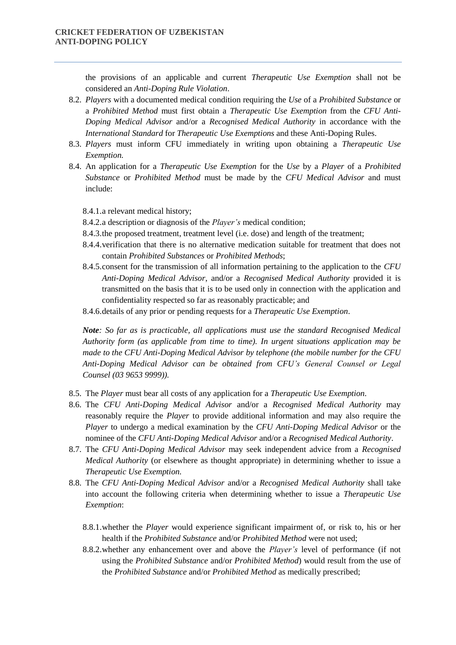the provisions of an applicable and current *Therapeutic Use Exemption* shall not be considered an *Anti-Doping Rule Violation*.

- 8.2. *Players* with a documented medical condition requiring the *Use* of a *Prohibited Substance* or a *Prohibited Method* must first obtain a *Therapeutic Use Exemption* from the *CFU Anti-Doping Medical Advisor* and/or a *Recognised Medical Authority* in accordance with the *International Standard* for *Therapeutic Use Exemptions* and these Anti-Doping Rules.
- 8.3. *Players* must inform CFU immediately in writing upon obtaining a *Therapeutic Use Exemption.*
- 8.4. An application for a *Therapeutic Use Exemption* for the *Use* by a *Player* of a *Prohibited Substance* or *Prohibited Method* must be made by the *CFU Medical Advisor* and must include:
	- 8.4.1.a relevant medical history;
	- 8.4.2.a description or diagnosis of the *Player's* medical condition;
	- 8.4.3.the proposed treatment, treatment level (i.e. dose) and length of the treatment;
	- 8.4.4.verification that there is no alternative medication suitable for treatment that does not contain *Prohibited Substances* or *Prohibited Methods*;
	- 8.4.5.consent for the transmission of all information pertaining to the application to the *CFU Anti-Doping Medical Advisor*, and/or a *Recognised Medical Authority* provided it is transmitted on the basis that it is to be used only in connection with the application and confidentiality respected so far as reasonably practicable; and
	- 8.4.6.details of any prior or pending requests for a *Therapeutic Use Exemption*.

*Note: So far as is practicable, all applications must use the standard Recognised Medical Authority form (as applicable from time to time). In urgent situations application may be made to the CFU Anti-Doping Medical Advisor by telephone (the mobile number for the CFU Anti-Doping Medical Advisor can be obtained from CFU's General Counsel or Legal Counsel (03 9653 9999)).* 

- 8.5. The *Player* must bear all costs of any application for a *Therapeutic Use Exemption*.
- 8.6. The *CFU Anti-Doping Medical Advisor* and/or a *Recognised Medical Authority* may reasonably require the *Player* to provide additional information and may also require the *Player* to undergo a medical examination by the *CFU Anti-Doping Medical Advisor* or the nominee of the *CFU Anti-Doping Medical Advisor* and/or a *Recognised Medical Authority*.
- 8.7. The *CFU Anti-Doping Medical Advisor* may seek independent advice from a *Recognised Medical Authority* (or elsewhere as thought appropriate) in determining whether to issue a *Therapeutic Use Exemption*.
- 8.8. The *CFU Anti-Doping Medical Advisor* and/or a *Recognised Medical Authority* shall take into account the following criteria when determining whether to issue a *Therapeutic Use Exemption*:
	- 8.8.1.whether the *Player* would experience significant impairment of, or risk to, his or her health if the *Prohibited Substance* and/or *Prohibited Method* were not used;
	- 8.8.2.whether any enhancement over and above the *Player's* level of performance (if not using the *Prohibited Substance* and/or *Prohibited Method*) would result from the use of the *Prohibited Substance* and/or *Prohibited Method* as medically prescribed;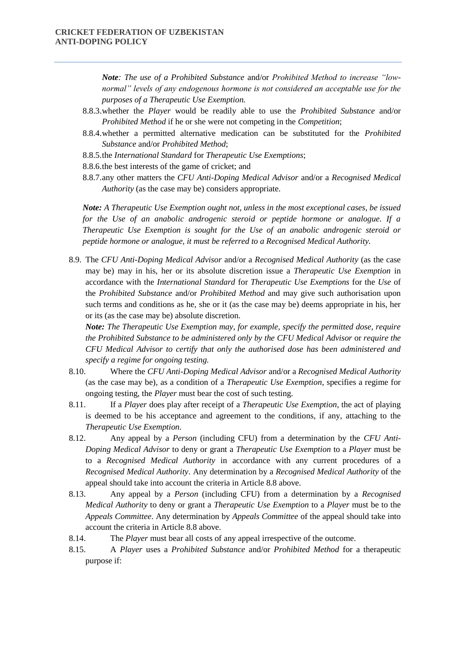*Note: The use of a Prohibited Substance* and/or *Prohibited Method to increase "lownormal" levels of any endogenous hormone is not considered an acceptable use for the purposes of a Therapeutic Use Exemption.* 

- 8.8.3.whether the *Player* would be readily able to use the *Prohibited Substance* and/or *Prohibited Method* if he or she were not competing in the *Competition*;
- 8.8.4.whether a permitted alternative medication can be substituted for the *Prohibited Substance* and/or *Prohibited Method*;
- 8.8.5.the *International Standard* for *Therapeutic Use Exemptions*;
- 8.8.6.the best interests of the game of cricket; and
- 8.8.7.any other matters the *CFU Anti-Doping Medical Advisor* and/or a *Recognised Medical Authority* (as the case may be) considers appropriate.

*Note: A Therapeutic Use Exemption ought not, unless in the most exceptional cases, be issued for the Use of an anabolic androgenic steroid or peptide hormone or analogue. If a Therapeutic Use Exemption is sought for the Use of an anabolic androgenic steroid or peptide hormone or analogue, it must be referred to a Recognised Medical Authority.* 

8.9. The *CFU Anti-Doping Medical Advisor* and/or a *Recognised Medical Authority* (as the case may be) may in his, her or its absolute discretion issue a *Therapeutic Use Exemption* in accordance with the *International Standard* for *Therapeutic Use Exemptions* for the *Use* of the *Prohibited Substance* and/or *Prohibited Method* and may give such authorisation upon such terms and conditions as he, she or it (as the case may be) deems appropriate in his, her or its (as the case may be) absolute discretion.

*Note: The Therapeutic Use Exemption may, for example, specify the permitted dose, require the Prohibited Substance to be administered only by the CFU Medical Advisor* or *require the CFU Medical Advisor to certify that only the authorised dose has been administered and specify a regime for ongoing testing.* 

- 8.10. Where the *CFU Anti-Doping Medical Advisor* and/or a *Recognised Medical Authority*  (as the case may be), as a condition of a *Therapeutic Use Exemption*, specifies a regime for ongoing testing, the *Player* must bear the cost of such testing.
- 8.11. If a *Player* does play after receipt of a *Therapeutic Use Exemption*, the act of playing is deemed to be his acceptance and agreement to the conditions, if any, attaching to the *Therapeutic Use Exemption*.
- 8.12. Any appeal by a *Person* (including CFU) from a determination by the *CFU Anti-Doping Medical Advisor* to deny or grant a *Therapeutic Use Exemption* to a *Player* must be to a *Recognised Medical Authority* in accordance with any current procedures of a *Recognised Medical Authority*. Any determination by a *Recognised Medical Authority* of the appeal should take into account the criteria in Article 8.8 above.
- 8.13. Any appeal by a *Person* (including CFU) from a determination by a *Recognised Medical Authority* to deny or grant a *Therapeutic Use Exemption* to a *Player* must be to the *Appeals Committee*. Any determination by *Appeals Committee* of the appeal should take into account the criteria in Article 8.8 above.
- 8.14. The *Player* must bear all costs of any appeal irrespective of the outcome.
- 8.15. A *Player* uses a *Prohibited Substance* and/or *Prohibited Method* for a therapeutic purpose if: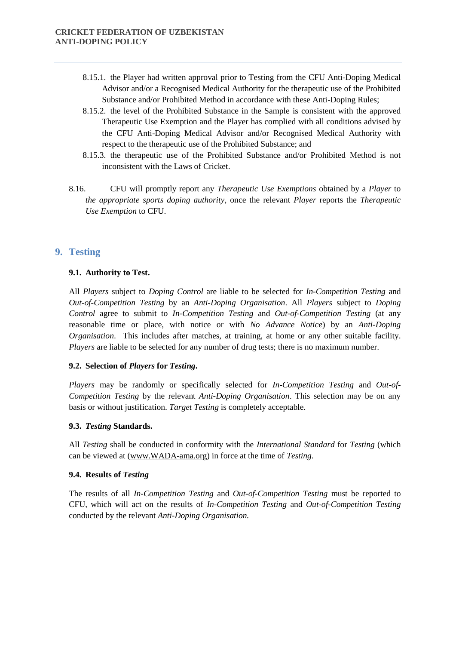- 8.15.1. the Player had written approval prior to Testing from the CFU Anti-Doping Medical Advisor and/or a Recognised Medical Authority for the therapeutic use of the Prohibited Substance and/or Prohibited Method in accordance with these Anti-Doping Rules;
- 8.15.2. the level of the Prohibited Substance in the Sample is consistent with the approved Therapeutic Use Exemption and the Player has complied with all conditions advised by the CFU Anti-Doping Medical Advisor and/or Recognised Medical Authority with respect to the therapeutic use of the Prohibited Substance; and
- 8.15.3. the therapeutic use of the Prohibited Substance and/or Prohibited Method is not inconsistent with the Laws of Cricket.
- 8.16. CFU will promptly report any *Therapeutic Use Exemptions* obtained by a *Player* to *the appropriate sports doping authority*, once the relevant *Player* reports the *Therapeutic Use Exemption* to CFU.

# **9. Testing**

#### **9.1. Authority to Test.**

All *Players* subject to *Doping Control* are liable to be selected for *In-Competition Testing* and *Out-of-Competition Testing* by an *Anti-Doping Organisation*. All *Players* subject to *Doping Control* agree to submit to *In-Competition Testing* and *Out-of-Competition Testing* (at any reasonable time or place, with notice or with *No Advance Notice*) by an *Anti-Doping Organisation*. This includes after matches, at training, at home or any other suitable facility. *Players* are liable to be selected for any number of drug tests; there is no maximum number.

#### **9.2. Selection of** *Players* **for** *Testing***.**

*Players* may be randomly or specifically selected for *In-Competition Testing* and *Out-of-Competition Testing* by the relevant *Anti-Doping Organisation*. This selection may be on any basis or without justification. *Target Testing* is completely acceptable.

#### **9.3.** *Testing* **Standards.**

All *Testing* shall be conducted in conformity with the *International Standard* for *Testing* (which can be viewed at (www.WADA-ama.org) in force at the time of *Testing*.

### **9.4. Results of** *Testing*

The results of all *In-Competition Testing* and *Out-of-Competition Testing* must be reported to CFU, which will act on the results of *In-Competition Testing* and *Out-of-Competition Testing*  conducted by the relevant *Anti-Doping Organisation.*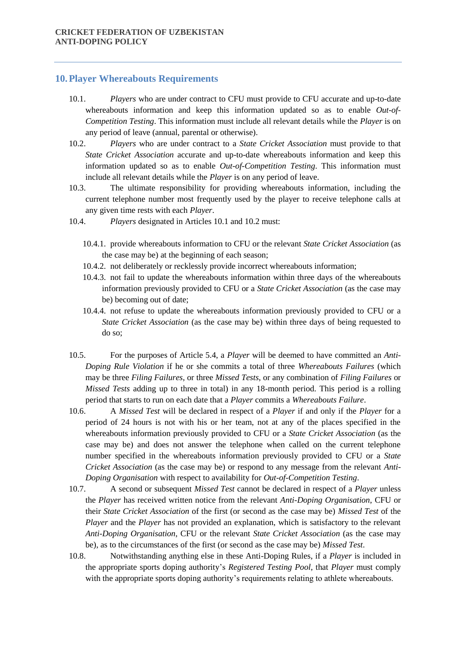# **10.Player Whereabouts Requirements**

- 10.1. *Players* who are under contract to CFU must provide to CFU accurate and up-to-date whereabouts information and keep this information updated so as to enable *Out-of-Competition Testing*. This information must include all relevant details while the *Player* is on any period of leave (annual, parental or otherwise).
- 10.2. *Players* who are under contract to a *State Cricket Association* must provide to that *State Cricket Association* accurate and up-to-date whereabouts information and keep this information updated so as to enable *Out-of-Competition Testing*. This information must include all relevant details while the *Player* is on any period of leave.
- 10.3. The ultimate responsibility for providing whereabouts information, including the current telephone number most frequently used by the player to receive telephone calls at any given time rests with each *Player*.
- 10.4. *Players* designated in Articles 10.1 and 10.2 must:
	- 10.4.1. provide whereabouts information to CFU or the relevant *State Cricket Association* (as the case may be) at the beginning of each season;
	- 10.4.2. not deliberately or recklessly provide incorrect whereabouts information;
	- 10.4.3. not fail to update the whereabouts information within three days of the whereabouts information previously provided to CFU or a *State Cricket Association* (as the case may be) becoming out of date;
	- 10.4.4. not refuse to update the whereabouts information previously provided to CFU or a *State Cricket Association* (as the case may be) within three days of being requested to do so;
- 10.5. For the purposes of Article 5.4, a *Player* will be deemed to have committed an *Anti-Doping Rule Violation* if he or she commits a total of three *Whereabouts Failures* (which may be three *Filing Failures*, or three *Missed Tests*, or any combination of *Filing Failures* or *Missed Tests* adding up to three in total) in any 18-month period. This period is a rolling period that starts to run on each date that a *Player* commits a *Whereabouts Failure*.
- 10.6. A *Missed Test* will be declared in respect of a *Player* if and only if the *Player* for a period of 24 hours is not with his or her team, not at any of the places specified in the whereabouts information previously provided to CFU or a *State Cricket Association* (as the case may be) and does not answer the telephone when called on the current telephone number specified in the whereabouts information previously provided to CFU or a *State Cricket Association* (as the case may be) or respond to any message from the relevant *Anti-Doping Organisation* with respect to availability for *Out-of-Competition Testing*.
- 10.7. A second or subsequent *Missed Test* cannot be declared in respect of a *Player* unless the *Player* has received written notice from the relevant *Anti-Doping Organisation*, CFU or their *State Cricket Association* of the first (or second as the case may be) *Missed Test* of the *Player* and the *Player* has not provided an explanation, which is satisfactory to the relevant *Anti-Doping Organisation*, CFU or the relevant *State Cricket Association* (as the case may be), as to the circumstances of the first (or second as the case may be) *Missed Test*.
- 10.8. Notwithstanding anything else in these Anti-Doping Rules, if a *Player* is included in the appropriate sports doping authority's *Registered Testing Pool*, that *Player* must comply with the appropriate sports doping authority's requirements relating to athlete whereabouts.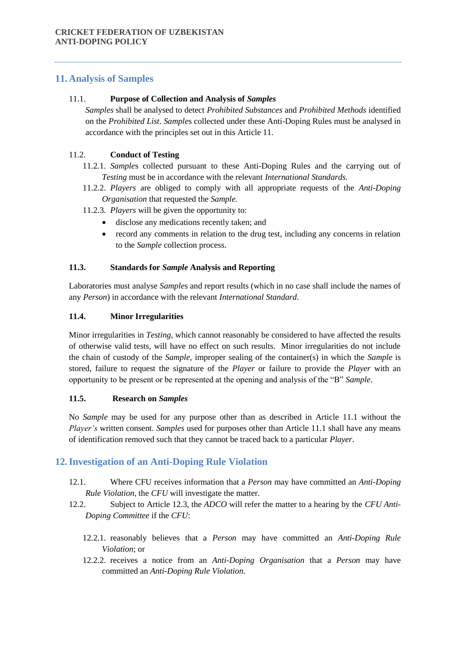# **11.Analysis of Samples**

# 11.1. **Purpose of Collection and Analysis of** *Samples*

*Samples* shall be analysed to detect *Prohibited Substances* and *Prohibited Methods* identified on the *Prohibited List*. *Sample*s collected under these Anti-Doping Rules must be analysed in accordance with the principles set out in this Article 11.

# 11.2. **Conduct of Testing**

- 11.2.1. *Sample*s collected pursuant to these Anti-Doping Rules and the carrying out of *Testing* must be in accordance with the relevant *International Standards.*
- 11.2.2. *Players* are obliged to comply with all appropriate requests of the *Anti-Doping Organisation* that requested the *Sample.*
- 11.2.3. *Players* will be given the opportunity to:
	- disclose any medications recently taken; and
	- record any comments in relation to the drug test, including any concerns in relation to the *Sample* collection process.

## **11.3. Standards for** *Sample* **Analysis and Reporting**

Laboratories must analyse *Sample*s and report results (which in no case shall include the names of any *Person*) in accordance with the relevant *International Standard*.

#### **11.4. Minor Irregularities**

Minor irregularities in *Testing*, which cannot reasonably be considered to have affected the results of otherwise valid tests, will have no effect on such results. Minor irregularities do not include the chain of custody of the *Sample*, improper sealing of the container(s) in which the *Sample* is stored, failure to request the signature of the *Player* or failure to provide the *Player* with an opportunity to be present or be represented at the opening and analysis of the "B" *Sample*.

## **11.5. Research on** *Samples*

No *Sample* may be used for any purpose other than as described in Article 11.1 without the *Player's* written consent. *Samples* used for purposes other than Article 11.1 shall have any means of identification removed such that they cannot be traced back to a particular *Player*.

# **12.Investigation of an Anti-Doping Rule Violation**

- 12.1. Where CFU receives information that a *Person* may have committed an *Anti-Doping Rule Violation*, the *CFU* will investigate the matter.
- 12.2. Subject to Article 12.3, the *ADCO* will refer the matter to a hearing by the *CFU Anti-Doping Committee* if the *CFU*:
	- 12.2.1. reasonably believes that a *Person* may have committed an *Anti-Doping Rule Violation*; or
	- 12.2.2. receives a notice from an *Anti-Doping Organisation* that a *Person* may have committed an *Anti-Doping Rule Violation*.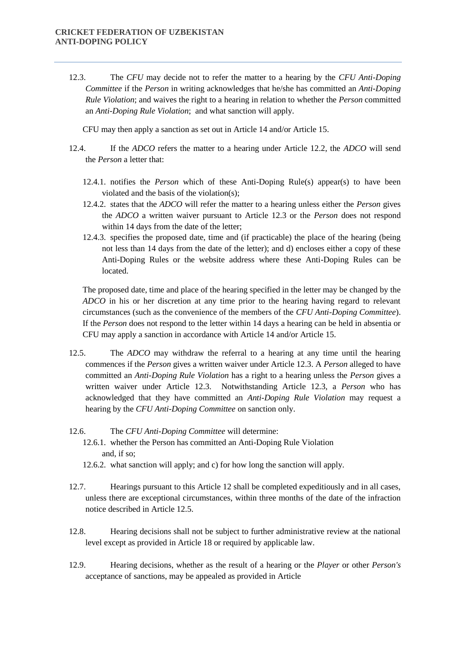12.3. The *CFU* may decide not to refer the matter to a hearing by the *CFU Anti-Doping Committee* if the *Person* in writing acknowledges that he/she has committed an *Anti-Doping Rule Violation*; and waives the right to a hearing in relation to whether the *Person* committed an *Anti-Doping Rule Violation*; and what sanction will apply.

CFU may then apply a sanction as set out in Article 14 and/or Article 15.

- 12.4. If the *ADCO* refers the matter to a hearing under Article 12.2, the *ADCO* will send the *Person* a letter that:
	- 12.4.1. notifies the *Person* which of these Anti-Doping Rule(s) appear(s) to have been violated and the basis of the violation(s);
	- 12.4.2. states that the *ADCO* will refer the matter to a hearing unless either the *Person* gives the *ADCO* a written waiver pursuant to Article 12.3 or the *Person* does not respond within 14 days from the date of the letter;
	- 12.4.3. specifies the proposed date, time and (if practicable) the place of the hearing (being not less than 14 days from the date of the letter); and d) encloses either a copy of these Anti-Doping Rules or the website address where these Anti-Doping Rules can be located.

The proposed date, time and place of the hearing specified in the letter may be changed by the *ADCO* in his or her discretion at any time prior to the hearing having regard to relevant circumstances (such as the convenience of the members of the *CFU Anti-Doping Committee*). If the *Person* does not respond to the letter within 14 days a hearing can be held in absentia or CFU may apply a sanction in accordance with Article 14 and/or Article 15.

- 12.5. The *ADCO* may withdraw the referral to a hearing at any time until the hearing commences if the *Person* gives a written waiver under Article 12.3. A *Person* alleged to have committed an *Anti-Doping Rule Violation* has a right to a hearing unless the *Person* gives a written waiver under Article 12.3. Notwithstanding Article 12.3, a *Person* who has acknowledged that they have committed an *Anti-Doping Rule Violation* may request a hearing by the *CFU Anti-Doping Committee* on sanction only.
- 12.6. The *CFU Anti-Doping Committee* will determine:
	- 12.6.1. whether the Person has committed an Anti-Doping Rule Violation and, if so;
	- 12.6.2. what sanction will apply; and c) for how long the sanction will apply.
- 12.7. Hearings pursuant to this Article 12 shall be completed expeditiously and in all cases, unless there are exceptional circumstances, within three months of the date of the infraction notice described in Article 12.5.
- 12.8. Hearing decisions shall not be subject to further administrative review at the national level except as provided in Article 18 or required by applicable law.
- 12.9. Hearing decisions, whether as the result of a hearing or the *Player* or other *Person's* acceptance of sanctions, may be appealed as provided in Article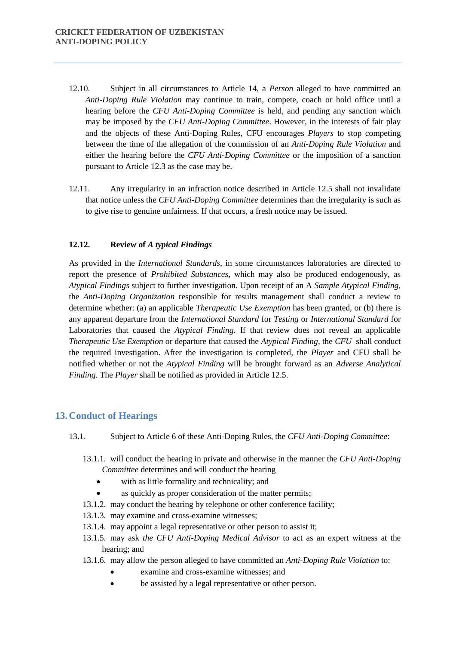- 12.10. Subject in all circumstances to Article 14, a *Person* alleged to have committed an *Anti-Doping Rule Violation* may continue to train, compete, coach or hold office until a hearing before the *CFU Anti-Doping Committee* is held, and pending any sanction which may be imposed by the *CFU Anti-Doping Committee*. However, in the interests of fair play and the objects of these Anti-Doping Rules, CFU encourages *Players* to stop competing between the time of the allegation of the commission of an *Anti-Doping Rule Violation* and either the hearing before the *CFU Anti-Doping Committee* or the imposition of a sanction pursuant to Article 12.3 as the case may be.
- 12.11. Any irregularity in an infraction notice described in Article 12.5 shall not invalidate that notice unless the *CFU Anti-Doping Committee* determines than the irregularity is such as to give rise to genuine unfairness. If that occurs, a fresh notice may be issued.

#### **12.12. Review of** *A typical Findings*

As provided in the *International Standards*, in some circumstances laboratories are directed to report the presence of *Prohibited Substances*, which may also be produced endogenously, as *Atypical Findings* subject to further investigation. Upon receipt of an A *Sample Atypical Finding*, the *Anti-Doping Organization* responsible for results management shall conduct a review to determine whether: (a) an applicable *Therapeutic Use Exemption* has been granted, or (b) there is any apparent departure from the *International Standard* for *Testing* or *International Standard* for Laboratories that caused the *Atypical Finding.* If that review does not reveal an applicable *Therapeutic Use Exemption* or departure that caused the *Atypical Finding*, the *CFU* shall conduct the required investigation. After the investigation is completed, the *Player* and CFU shall be notified whether or not the *Atypical Finding* will be brought forward as an *Adverse Analytical Finding*. The *Player* shall be notified as provided in Article 12.5.

## **13.Conduct of Hearings**

- 13.1. Subject to Article 6 of these Anti-Doping Rules, the *CFU Anti-Doping Committee*:
	- 13.1.1. will conduct the hearing in private and otherwise in the manner the *CFU Anti-Doping Committee* determines and will conduct the hearing
		- with as little formality and technicality; and
		- as quickly as proper consideration of the matter permits;
	- 13.1.2. may conduct the hearing by telephone or other conference facility;
	- 13.1.3. may examine and cross-examine witnesses;
	- 13.1.4. may appoint a legal representative or other person to assist it;
	- 13.1.5. may ask *the CFU Anti-Doping Medical Advisor* to act as an expert witness at the hearing; and
	- 13.1.6. may allow the person alleged to have committed an *Anti-Doping Rule Violation* to:
		- examine and cross-examine witnesses; and
		- be assisted by a legal representative or other person.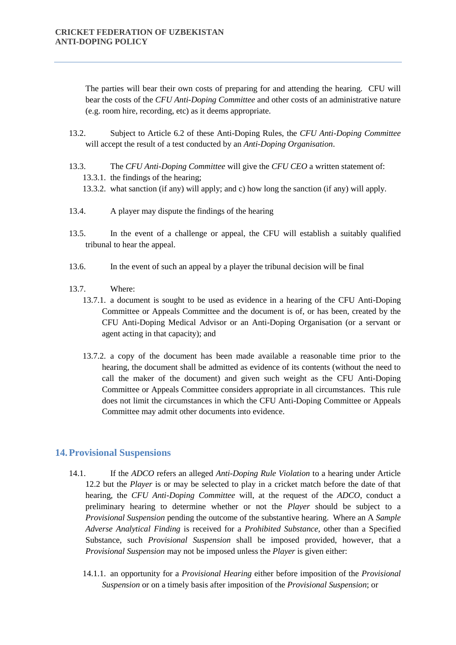The parties will bear their own costs of preparing for and attending the hearing. CFU will bear the costs of the *CFU Anti-Doping Committee* and other costs of an administrative nature (e.g. room hire, recording, etc) as it deems appropriate.

- 13.2. Subject to Article 6.2 of these Anti-Doping Rules, the *CFU Anti-Doping Committee* will accept the result of a test conducted by an *Anti-Doping Organisation*.
- 13.3. The *CFU Anti-Doping Committee* will give the *CFU CEO* a written statement of: 13.3.1. the findings of the hearing;
	- 13.3.2. what sanction (if any) will apply; and c) how long the sanction (if any) will apply.
- 13.4. A player may dispute the findings of the hearing
- 13.5. In the event of a challenge or appeal, the CFU will establish a suitably qualified tribunal to hear the appeal.
- 13.6. In the event of such an appeal by a player the tribunal decision will be final
- 13.7. Where:
	- 13.7.1. a document is sought to be used as evidence in a hearing of the CFU Anti-Doping Committee or Appeals Committee and the document is of, or has been, created by the CFU Anti-Doping Medical Advisor or an Anti-Doping Organisation (or a servant or agent acting in that capacity); and
	- 13.7.2. a copy of the document has been made available a reasonable time prior to the hearing, the document shall be admitted as evidence of its contents (without the need to call the maker of the document) and given such weight as the CFU Anti-Doping Committee or Appeals Committee considers appropriate in all circumstances. This rule does not limit the circumstances in which the CFU Anti-Doping Committee or Appeals Committee may admit other documents into evidence.

# **14.Provisional Suspensions**

- 14.1. If the *ADCO* refers an alleged *Anti-Doping Rule Violation* to a hearing under Article 12.2 but the *Player* is or may be selected to play in a cricket match before the date of that hearing, the *CFU Anti-Doping Committee* will, at the request of the *ADCO*, conduct a preliminary hearing to determine whether or not the *Player* should be subject to a *Provisional Suspension* pending the outcome of the substantive hearing. Where an A *Sample Adverse Analytical Finding* is received for a *Prohibited Substance,* other than a Specified Substance, such *Provisional Suspension* shall be imposed provided, however, that a *Provisional Suspension* may not be imposed unless the *Player* is given either:
	- 14.1.1. an opportunity for a *Provisional Hearing* either before imposition of the *Provisional Suspension* or on a timely basis after imposition of the *Provisional Suspension*; or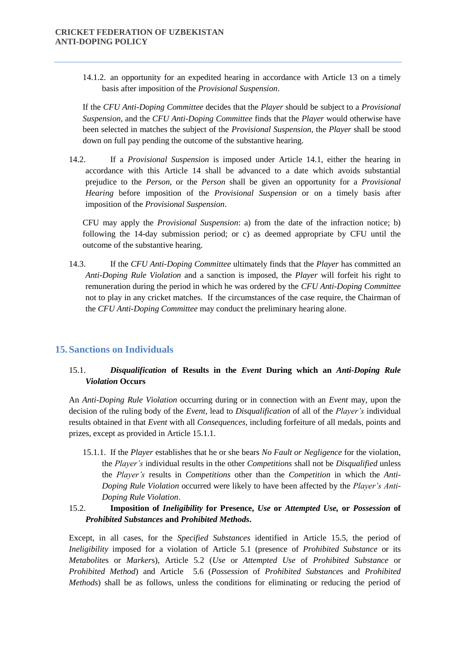14.1.2. an opportunity for an expedited hearing in accordance with Article 13 on a timely basis after imposition of the *Provisional Suspension*.

If the *CFU Anti-Doping Committee* decides that the *Player* should be subject to a *Provisional Suspension*, and the *CFU Anti-Doping Committee* finds that the *Player* would otherwise have been selected in matches the subject of the *Provisional Suspension*, the *Player* shall be stood down on full pay pending the outcome of the substantive hearing.

14.2. If a *Provisional Suspension* is imposed under Article 14.1, either the hearing in accordance with this Article 14 shall be advanced to a date which avoids substantial prejudice to the *Person*, or the *Person* shall be given an opportunity for a *Provisional Hearing* before imposition of the *Provisional Suspension* or on a timely basis after imposition of the *Provisional Suspension*.

CFU may apply the *Provisional Suspension*: a) from the date of the infraction notice; b) following the 14-day submission period; or c) as deemed appropriate by CFU until the outcome of the substantive hearing.

14.3. If the *CFU Anti-Doping Committee* ultimately finds that the *Player* has committed an *Anti-Doping Rule Violation* and a sanction is imposed, the *Player* will forfeit his right to remuneration during the period in which he was ordered by the *CFU Anti-Doping Committee*  not to play in any cricket matches. If the circumstances of the case require, the Chairman of the *CFU Anti-Doping Committee* may conduct the preliminary hearing alone.

# **15.Sanctions on Individuals**

# 15.1. *Disqualification* **of Results in the** *Event* **During which an** *Anti-Doping Rule Violation* **Occurs**

An *Anti-Doping Rule Violation* occurring during or in connection with an *Event* may, upon the decision of the ruling body of the *Event,* lead to *Disqualification* of all of the *Player's* individual results obtained in that *Event* with all *Consequences,* including forfeiture of all medals, points and prizes, except as provided in Article 15.1.1.

15.1.1. If the *Player* establishes that he or she bears *No Fault or Negligence* for the violation, the *Player's* individual results in the other *Competitions* shall not be *Disqualified* unless the *Player's* results in *Competitions* other than the *Competition* in which the *Anti-Doping Rule Violation* occurred were likely to have been affected by the *Player's Anti-Doping Rule Violation*.

## 15.2. **Imposition of** *Ineligibility* **for Presence,** *Use* **or** *Attempted Use,* **or** *Possession* **of**  *Prohibited Substances* **and** *Prohibited Methods***.**

Except, in all cases, for the *Specified Substances* identified in Article 15.5, the period of *Ineligibility* imposed for a violation of Article 5.1 (presence of *Prohibited Substance* or its *Metabolite*s or *Marker*s), Article 5.2 (*Use* or *Attempted Use* of *Prohibited Substance* or *Prohibited Method*) and Article 5.6 (*Possession* of *Prohibited Substance*s and *Prohibited Methods*) shall be as follows, unless the conditions for eliminating or reducing the period of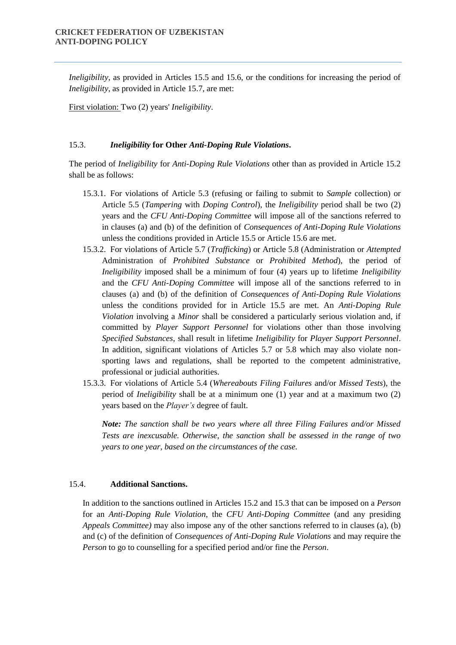*Ineligibility*, as provided in Articles 15.5 and 15.6, or the conditions for increasing the period of *Ineligibility*, as provided in Article 15.7, are met:

First violation: Two (2) years' *Ineligibility*.

#### 15.3. *Ineligibility* **for Other** *Anti-Doping Rule Violations***.**

The period of *Ineligibility* for *Anti-Doping Rule Violations* other than as provided in Article 15.2 shall be as follows:

- 15.3.1. For violations of Article 5.3 (refusing or failing to submit to *Sample* collection) or Article 5.5 (*Tampering* with *Doping Control*), the *Ineligibility* period shall be two (2) years and the *CFU Anti-Doping Committee* will impose all of the sanctions referred to in clauses (a) and (b) of the definition of *Consequences of Anti-Doping Rule Violations*  unless the conditions provided in Article 15.5 or Article 15.6 are met.
- 15.3.2. For violations of Article 5.7 (*Trafficking*) or Article 5.8 (Administration or *Attempted*  Administration of *Prohibited Substance* or *Prohibited Method*), the period of *Ineligibility* imposed shall be a minimum of four (4) years up to lifetime *Ineligibility* and the *CFU Anti-Doping Committee* will impose all of the sanctions referred to in clauses (a) and (b) of the definition of *Consequences of Anti-Doping Rule Violations*  unless the conditions provided for in Article 15.5 are met. An *Anti-Doping Rule Violation* involving a *Minor* shall be considered a particularly serious violation and, if committed by *Player Support Personnel* for violations other than those involving *Specified Substances*, shall result in lifetime *Ineligibility* for *Player Support Personnel*. In addition, significant violations of Articles 5.7 or 5.8 which may also violate nonsporting laws and regulations, shall be reported to the competent administrative, professional or judicial authorities.
- 15.3.3. For violations of Article 5.4 (*Whereabouts Filing Failures* and/or *Missed Tests*), the period of *Ineligibility* shall be at a minimum one (1) year and at a maximum two (2) years based on the *Player's* degree of fault.

*Note: The sanction shall be two years where all three Filing Failures and/or Missed Tests are inexcusable. Otherwise, the sanction shall be assessed in the range of two years to one year, based on the circumstances of the case.* 

## 15.4. **Additional Sanctions.**

In addition to the sanctions outlined in Articles 15.2 and 15.3 that can be imposed on a *Person* for an *Anti-Doping Rule Violation*, the *CFU Anti-Doping Committee* (and any presiding *Appeals Committee)* may also impose any of the other sanctions referred to in clauses (a), (b) and (c) of the definition of *Consequences of Anti-Doping Rule Violations* and may require the *Person* to go to counselling for a specified period and/or fine the *Person*.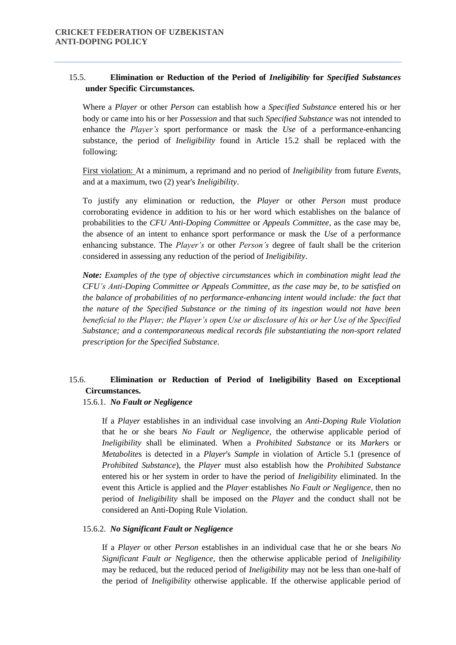# 15.5. **Elimination or Reduction of the Period of** *Ineligibility* **for** *Specified Substances* **under Specific Circumstances.**

Where a *Player* or other *Person* can establish how a *Specified Substance* entered his or her body or came into his or her *Possession* and that such *Specified Substance* was not intended to enhance the *Player's* sport performance or mask the *Use* of a performance-enhancing substance, the period of *Ineligibility* found in Article 15.2 shall be replaced with the following:

First violation: At a minimum, a reprimand and no period of *Ineligibility* from future *Events,*  and at a maximum, two (2) year's *Ineligibility*.

To justify any elimination or reduction, the *Player* or other *Person* must produce corroborating evidence in addition to his or her word which establishes on the balance of probabilities to the *CFU Anti-Doping Committee* or *Appeals Committee*, as the case may be, the absence of an intent to enhance sport performance or mask the *Use* of a performance enhancing substance. The *Player's* or other *Person's* degree of fault shall be the criterion considered in assessing any reduction of the period of *Ineligibility*.

*Note: Examples of the type of objective circumstances which in combination might lead the CFU's Anti-Doping Committee or Appeals Committee, as the case may be, to be satisfied on the balance of probabilities of no performance-enhancing intent would include: the fact that the nature of the Specified Substance or the timing of its ingestion would not have been beneficial to the Player; the Player's open Use or disclosure of his or her Use of the Specified Substance; and a contemporaneous medical records file substantiating the non-sport related prescription for the Specified Substance.* 

# 15.6. **Elimination or Reduction of Period of Ineligibility Based on Exceptional Circumstances.**

#### 15.6.1. *No Fault or Negligence*

If a *Player* establishes in an individual case involving an *Anti-Doping Rule Violation* that he or she bears *No Fault or Negligence*, the otherwise applicable period of *Ineligibility* shall be eliminated. When a *Prohibited Substance* or its *Marker*s or *Metabolite*s is detected in a *Player*'s *Sample* in violation of Article 5.1 (presence of *Prohibited Substance*), the *Player* must also establish how the *Prohibited Substance* entered his or her system in order to have the period of *Ineligibility* eliminated. In the event this Article is applied and the *Player* establishes *No Fault or Negligence*, then no period of *Ineligibility* shall be imposed on the *Player* and the conduct shall not be considered an Anti-Doping Rule Violation.

#### 15.6.2. *No Significant Fault or Negligence*

If a *Player* or other *Person* establishes in an individual case that he or she bears *No Significant Fault or Negligence*, then the otherwise applicable period of *Ineligibility*  may be reduced, but the reduced period of *Ineligibility* may not be less than one-half of the period of *Ineligibility* otherwise applicable. If the otherwise applicable period of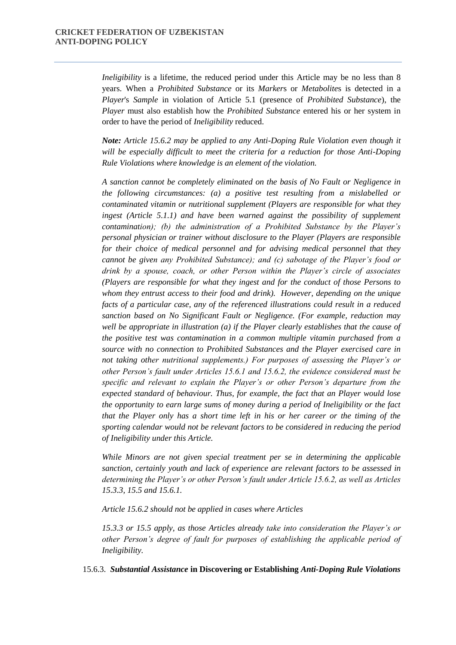*Ineligibility* is a lifetime, the reduced period under this Article may be no less than 8 years. When a *Prohibited Substance* or its *Marker*s or *Metabolite*s is detected in a *Player*'s *Sample* in violation of Article 5.1 (presence of *Prohibited Substance*), the *Player* must also establish how the *Prohibited Substance* entered his or her system in order to have the period of *Ineligibility* reduced.

*Note: Article 15.6.2 may be applied to any Anti-Doping Rule Violation even though it will be especially difficult to meet the criteria for a reduction for those Anti-Doping Rule Violations where knowledge is an element of the violation.* 

*A sanction cannot be completely eliminated on the basis of No Fault or Negligence in the following circumstances: (a) a positive test resulting from a mislabelled or contaminated vitamin or nutritional supplement (Players are responsible for what they*  ingest (Article 5.1.1) and have been warned against the possibility of supplement *contamination); (b) the administration of a Prohibited Substance by the Player's personal physician or trainer without disclosure to the Player (Players are responsible for their choice of medical personnel and for advising medical personnel that they cannot be given any Prohibited Substance); and (c) sabotage of the Player's food or drink by a spouse, coach, or other Person within the Player's circle of associates (Players are responsible for what they ingest and for the conduct of those Persons to whom they entrust access to their food and drink). However, depending on the unique facts of a particular case, any of the referenced illustrations could result in a reduced sanction based on No Significant Fault or Negligence. (For example, reduction may well be appropriate in illustration (a) if the Player clearly establishes that the cause of the positive test was contamination in a common multiple vitamin purchased from a source with no connection to Prohibited Substances and the Player exercised care in not taking other nutritional supplements.) For purposes of assessing the Player's or other Person's fault under Articles 15.6.1 and 15.6.2, the evidence considered must be specific and relevant to explain the Player's or other Person's departure from the expected standard of behaviour. Thus, for example, the fact that an Player would lose the opportunity to earn large sums of money during a period of Ineligibility or the fact that the Player only has a short time left in his or her career or the timing of the sporting calendar would not be relevant factors to be considered in reducing the period of Ineligibility under this Article.* 

*While Minors are not given special treatment per se in determining the applicable sanction, certainly youth and lack of experience are relevant factors to be assessed in determining the Player's or other Person's fault under Article 15.6.2, as well as Articles 15.3.3, 15.5 and 15.6.1.* 

*Article 15.6.2 should not be applied in cases where Articles* 

*15.3.3 or 15.5 apply, as those Articles already take into consideration the Player's or other Person's degree of fault for purposes of establishing the applicable period of Ineligibility.* 

15.6.3. *Substantial Assistance* **in Discovering or Establishing** *Anti-Doping Rule Violations*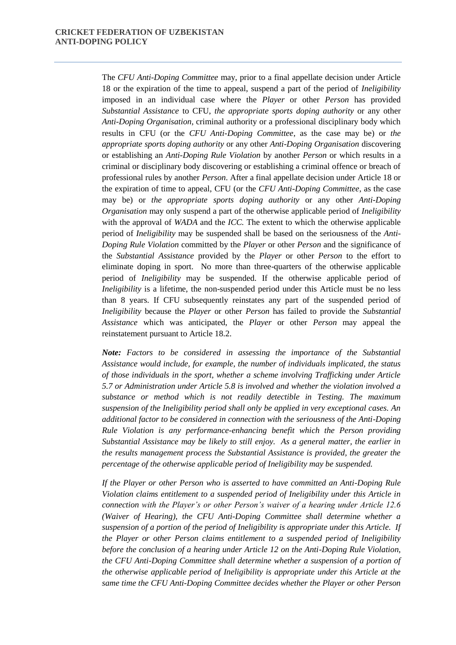The *CFU Anti-Doping Committee* may, prior to a final appellate decision under Article 18 or the expiration of the time to appeal, suspend a part of the period of *Ineligibility* imposed in an individual case where the *Player* or other *Person* has provided *Substantial Assistance* to CFU, *the appropriate sports doping authority* or any other *Anti-Doping Organisation*, criminal authority or a professional disciplinary body which results in CFU (or the *CFU Anti-Doping Committee*, as the case may be) or *the appropriate sports doping authority* or any other *Anti-Doping Organisation* discovering or establishing an *Anti-Doping Rule Violation* by another *Person* or which results in a criminal or disciplinary body discovering or establishing a criminal offence or breach of professional rules by another *Person*. After a final appellate decision under Article 18 or the expiration of time to appeal, CFU (or the *CFU Anti-Doping Committee*, as the case may be) or *the appropriate sports doping authority* or any other *Anti-Doping Organisation* may only suspend a part of the otherwise applicable period of *Ineligibility*  with the approval of *WADA* and the *ICC.* The extent to which the otherwise applicable period of *Ineligibility* may be suspended shall be based on the seriousness of the *Anti-Doping Rule Violation* committed by the *Player* or other *Person* and the significance of the *Substantial Assistance* provided by the *Player* or other *Person* to the effort to eliminate doping in sport. No more than three-quarters of the otherwise applicable period of *Ineligibility* may be suspended. If the otherwise applicable period of *Ineligibility* is a lifetime, the non-suspended period under this Article must be no less than 8 years. If CFU subsequently reinstates any part of the suspended period of *Ineligibility* because the *Player* or other *Person* has failed to provide the *Substantial Assistance* which was anticipated, the *Player* or other *Person* may appeal the reinstatement pursuant to Article 18.2.

*Note: Factors to be considered in assessing the importance of the Substantial Assistance would include, for example, the number of individuals implicated, the status of those individuals in the sport, whether a scheme involving Trafficking under Article 5.7 or Administration under Article 5.8 is involved and whether the violation involved a substance or method which is not readily detectible in Testing. The maximum suspension of the Ineligibility period shall only be applied in very exceptional cases. An additional factor to be considered in connection with the seriousness of the Anti-Doping Rule Violation is any performance-enhancing benefit which the Person providing Substantial Assistance may be likely to still enjoy. As a general matter, the earlier in the results management process the Substantial Assistance is provided, the greater the percentage of the otherwise applicable period of Ineligibility may be suspended.* 

*If the Player or other Person who is asserted to have committed an Anti-Doping Rule Violation claims entitlement to a suspended period of Ineligibility under this Article in connection with the Player's or other Person's waiver of a hearing under Article 12.6 (Waiver of Hearing), the CFU Anti-Doping Committee shall determine whether a suspension of a portion of the period of Ineligibility is appropriate under this Article. If the Player or other Person claims entitlement to a suspended period of Ineligibility before the conclusion of a hearing under Article 12 on the Anti-Doping Rule Violation, the CFU Anti-Doping Committee shall determine whether a suspension of a portion of the otherwise applicable period of Ineligibility is appropriate under this Article at the same time the CFU Anti-Doping Committee decides whether the Player or other Person*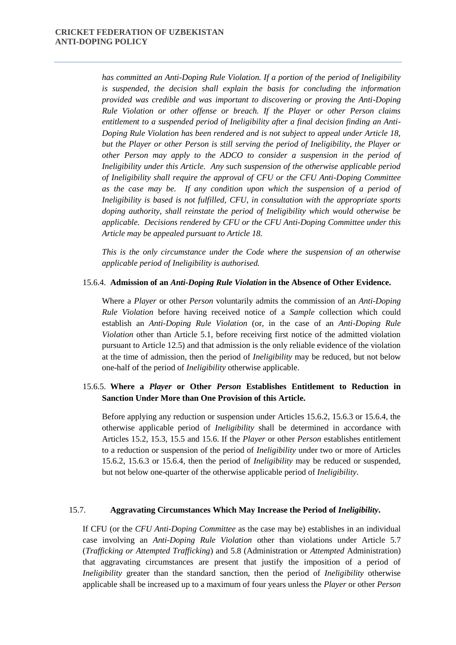*has committed an Anti-Doping Rule Violation. If a portion of the period of Ineligibility is suspended, the decision shall explain the basis for concluding the information provided was credible and was important to discovering or proving the Anti-Doping Rule Violation or other offense or breach. If the Player or other Person claims entitlement to a suspended period of Ineligibility after a final decision finding an Anti-Doping Rule Violation has been rendered and is not subject to appeal under Article 18, but the Player or other Person is still serving the period of Ineligibility, the Player or other Person may apply to the ADCO to consider a suspension in the period of Ineligibility under this Article. Any such suspension of the otherwise applicable period of Ineligibility shall require the approval of CFU or the CFU Anti-Doping Committee as the case may be. If any condition upon which the suspension of a period of Ineligibility is based is not fulfilled, CFU, in consultation with the appropriate sports doping authority, shall reinstate the period of Ineligibility which would otherwise be applicable. Decisions rendered by CFU or the CFU Anti-Doping Committee under this Article may be appealed pursuant to Article 18.* 

*This is the only circumstance under the Code where the suspension of an otherwise applicable period of Ineligibility is authorised.* 

#### 15.6.4. **Admission of an** *Anti-Doping Rule Violation* **in the Absence of Other Evidence.**

Where a *Player* or other *Person* voluntarily admits the commission of an *Anti-Doping Rule Violation* before having received notice of a *Sample* collection which could establish an *Anti-Doping Rule Violation* (or, in the case of an *Anti-Doping Rule Violation* other than Article 5.1, before receiving first notice of the admitted violation pursuant to Article 12.5) and that admission is the only reliable evidence of the violation at the time of admission, then the period of *Ineligibility* may be reduced, but not below one-half of the period of *Ineligibility* otherwise applicable.

# 15.6.5. **Where a** *Player* **or Other** *Person* **Establishes Entitlement to Reduction in Sanction Under More than One Provision of this Article.**

Before applying any reduction or suspension under Articles 15.6.2, 15.6.3 or 15.6.4, the otherwise applicable period of *Ineligibility* shall be determined in accordance with Articles 15.2, 15.3, 15.5 and 15.6. If the *Player* or other *Person* establishes entitlement to a reduction or suspension of the period of *Ineligibility* under two or more of Articles 15.6.2, 15.6.3 or 15.6.4, then the period of *Ineligibility* may be reduced or suspended, but not below one-quarter of the otherwise applicable period of *Ineligibility*.

#### 15.7. **Aggravating Circumstances Which May Increase the Period of** *Ineligibility***.**

If CFU (or the *CFU Anti-Doping Committee* as the case may be) establishes in an individual case involving an *Anti-Doping Rule Violation* other than violations under Article 5.7 (*Trafficking or Attempted Trafficking*) and 5.8 (Administration or *Attempted* Administration) that aggravating circumstances are present that justify the imposition of a period of *Ineligibility* greater than the standard sanction, then the period of *Ineligibility* otherwise applicable shall be increased up to a maximum of four years unless the *Player* or other *Person*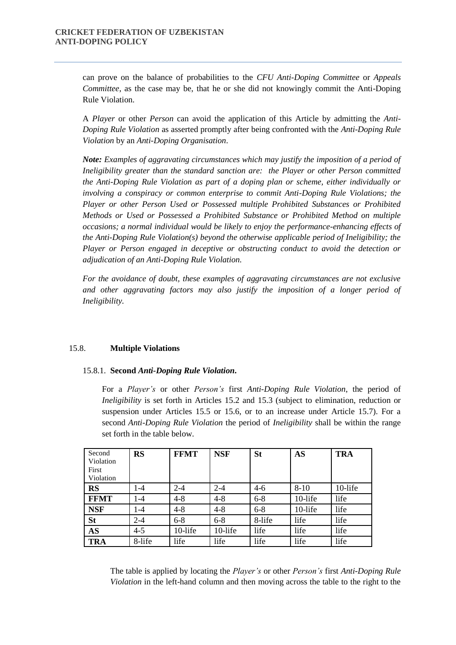can prove on the balance of probabilities to the *CFU Anti-Doping Committee* or *Appeals Committee*, as the case may be, that he or she did not knowingly commit the Anti-Doping Rule Violation.

A *Player* or other *Person* can avoid the application of this Article by admitting the *Anti-Doping Rule Violation* as asserted promptly after being confronted with the *Anti-Doping Rule Violation* by an *Anti-Doping Organisation*.

*Note: Examples of aggravating circumstances which may justify the imposition of a period of Ineligibility greater than the standard sanction are: the Player or other Person committed the Anti-Doping Rule Violation as part of a doping plan or scheme, either individually or involving a conspiracy or common enterprise to commit Anti-Doping Rule Violations; the Player or other Person Used or Possessed multiple Prohibited Substances or Prohibited Methods or Used or Possessed a Prohibited Substance or Prohibited Method on multiple occasions; a normal individual would be likely to enjoy the performance-enhancing effects of the Anti-Doping Rule Violation(s) beyond the otherwise applicable period of Ineligibility; the Player or Person engaged in deceptive or obstructing conduct to avoid the detection or adjudication of an Anti-Doping Rule Violation.* 

*For the avoidance of doubt, these examples of aggravating circumstances are not exclusive and other aggravating factors may also justify the imposition of a longer period of Ineligibility.* 

#### 15.8. **Multiple Violations**

#### 15.8.1. **Second** *Anti-Doping Rule Violation***.**

For a *Player's* or other *Person's* first *Anti-Doping Rule Violation*, the period of *Ineligibility* is set forth in Articles 15.2 and 15.3 (subject to elimination, reduction or suspension under Articles 15.5 or 15.6, or to an increase under Article 15.7). For a second *Anti-Doping Rule Violation* the period of *Ineligibility* shall be within the range set forth in the table below.

| Second<br>Violation<br>First<br>Violation | <b>RS</b> | <b>FFMT</b> | <b>NSF</b> | <b>St</b> | <b>AS</b> | <b>TRA</b> |
|-------------------------------------------|-----------|-------------|------------|-----------|-----------|------------|
| <b>RS</b>                                 | $1 - 4$   | $2 - 4$     | $2 - 4$    | $4-6$     | $8 - 10$  | 10-life    |
| <b>FFMT</b>                               | $1-4$     | $4 - 8$     | $4 - 8$    | $6 - 8$   | 10-life   | life       |
| <b>NSF</b>                                | $1 - 4$   | $4 - 8$     | $4 - 8$    | $6 - 8$   | 10-life   | life       |
| <b>St</b>                                 | $2 - 4$   | $6 - 8$     | $6 - 8$    | 8-life    | life      | life       |
| <b>AS</b>                                 | $4 - 5$   | 10-life     | 10-life    | life      | life      | life       |
| <b>TRA</b>                                | 8-life    | life        | life       | life      | life      | life       |

The table is applied by locating the *Player's* or other *Person's* first *Anti-Doping Rule Violation* in the left-hand column and then moving across the table to the right to the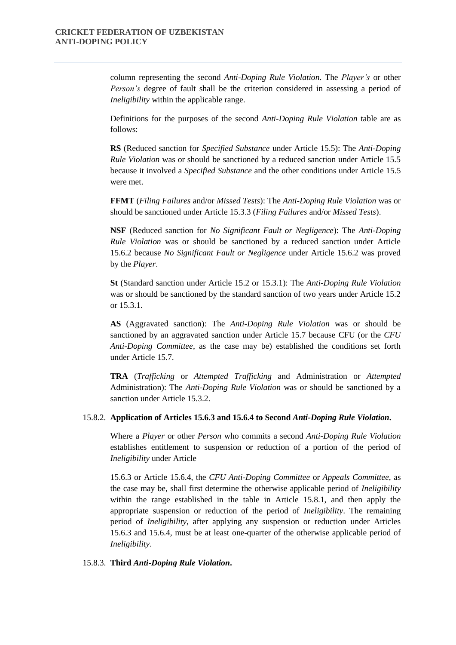column representing the second *Anti-Doping Rule Violation*. The *Player's* or other *Person's* degree of fault shall be the criterion considered in assessing a period of *Ineligibility* within the applicable range.

Definitions for the purposes of the second *Anti-Doping Rule Violation* table are as follows:

**RS** (Reduced sanction for *Specified Substance* under Article 15.5): The *Anti-Doping Rule Violation* was or should be sanctioned by a reduced sanction under Article 15.5 because it involved a *Specified Substance* and the other conditions under Article 15.5 were met.

**FFMT** (*Filing Failures* and/or *Missed Tests*): The *Anti-Doping Rule Violation* was or should be sanctioned under Article 15.3.3 (*Filing Failures* and/or *Missed Tests*).

**NSF** (Reduced sanction for *No Significant Fault or Negligence*): The *Anti-Doping Rule Violation* was or should be sanctioned by a reduced sanction under Article 15.6.2 because *No Significant Fault or Negligence* under Article 15.6.2 was proved by the *Player*.

**St** (Standard sanction under Article 15.2 or 15.3.1): The *Anti-Doping Rule Violation*  was or should be sanctioned by the standard sanction of two years under Article 15.2 or 15.3.1.

**AS** (Aggravated sanction): The *Anti-Doping Rule Violation* was or should be sanctioned by an aggravated sanction under Article 15.7 because CFU (or the *CFU Anti-Doping Committee*, as the case may be) established the conditions set forth under Article 15.7.

**TRA** (*Trafficking* or *Attempted Trafficking* and Administration or *Attempted*  Administration): The *Anti-Doping Rule Violation* was or should be sanctioned by a sanction under Article 15.3.2.

#### 15.8.2. **Application of Articles 15.6.3 and 15.6.4 to Second** *Anti-Doping Rule Violation***.**

Where a *Player* or other *Person* who commits a second *Anti-Doping Rule Violation* establishes entitlement to suspension or reduction of a portion of the period of *Ineligibility* under Article

15.6.3 or Article 15.6.4, the *CFU Anti-Doping Committee* or *Appeals Committee*, as the case may be, shall first determine the otherwise applicable period of *Ineligibility*  within the range established in the table in Article 15.8.1, and then apply the appropriate suspension or reduction of the period of *Ineligibility*. The remaining period of *Ineligibility*, after applying any suspension or reduction under Articles 15.6.3 and 15.6.4, must be at least one-quarter of the otherwise applicable period of *Ineligibility*.

#### 15.8.3. **Third** *Anti-Doping Rule Violation***.**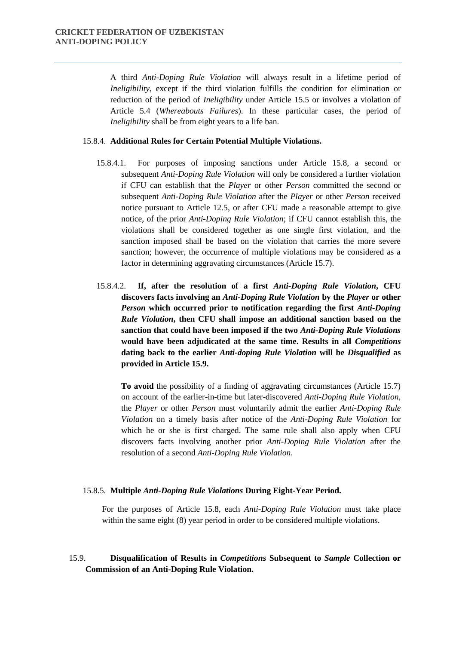A third *Anti-Doping Rule Violation* will always result in a lifetime period of *Ineligibility*, except if the third violation fulfills the condition for elimination or reduction of the period of *Ineligibility* under Article 15.5 or involves a violation of Article 5.4 (*Whereabouts Failures*). In these particular cases, the period of *Ineligibility* shall be from eight years to a life ban.

#### 15.8.4. **Additional Rules for Certain Potential Multiple Violations.**

- 15.8.4.1. For purposes of imposing sanctions under Article 15.8, a second or subsequent *Anti-Doping Rule Violation* will only be considered a further violation if CFU can establish that the *Player* or other *Person* committed the second or subsequent *Anti-Doping Rule Violation* after the *Player* or other *Person* received notice pursuant to Article 12.5, or after CFU made a reasonable attempt to give notice, of the prior *Anti-Doping Rule Violation*; if CFU cannot establish this, the violations shall be considered together as one single first violation, and the sanction imposed shall be based on the violation that carries the more severe sanction; however, the occurrence of multiple violations may be considered as a factor in determining aggravating circumstances (Article 15.7).
- 15.8.4.2. **If, after the resolution of a first** *Anti-Doping Rule Violation***, CFU discovers facts involving an** *Anti-Doping Rule Violation* **by the** *Player* **or other**  *Person* **which occurred prior to notification regarding the first** *Anti-Doping Rule Violation***, then CFU shall impose an additional sanction based on the sanction that could have been imposed if the two** *Anti-Doping Rule Violations* **would have been adjudicated at the same time. Results in all** *Competitions*  **dating back to the earlier** *Anti-doping Rule Violation* **will be** *Disqualified* **as provided in Article 15.9.**

**To avoid** the possibility of a finding of aggravating circumstances (Article 15.7) on account of the earlier-in-time but later-discovered *Anti-Doping Rule Violation*, the *Player* or other *Person* must voluntarily admit the earlier *Anti-Doping Rule Violation* on a timely basis after notice of the *Anti-Doping Rule Violation* for which he or she is first charged. The same rule shall also apply when CFU discovers facts involving another prior *Anti-Doping Rule Violation* after the resolution of a second *Anti-Doping Rule Violation*.

#### 15.8.5. **Multiple** *Anti-Doping Rule Violations* **During Eight-Year Period.**

For the purposes of Article 15.8, each *Anti-Doping Rule Violation* must take place within the same eight (8) year period in order to be considered multiple violations.

# 15.9. **Disqualification of Results in** *Competitions* **Subsequent to** *Sample* **Collection or Commission of an Anti-Doping Rule Violation.**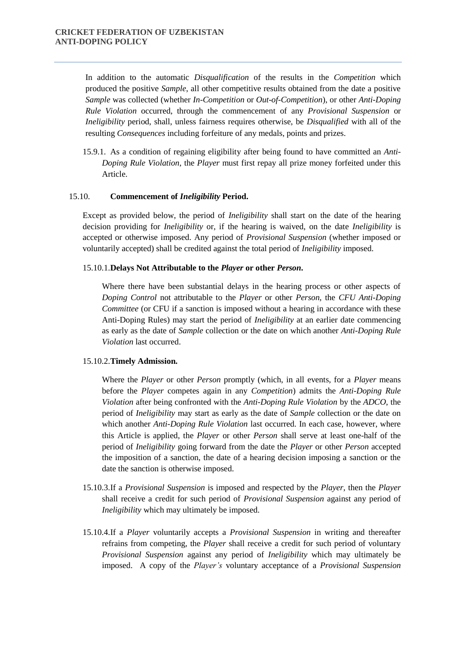In addition to the automatic *Disqualification* of the results in the *Competition* which produced the positive *Sample*, all other competitive results obtained from the date a positive *Sample* was collected (whether *In-Competition* or *Out-of-Competition*), or other *Anti-Doping Rule Violation* occurred, through the commencement of any *Provisional Suspension* or *Ineligibility* period, shall, unless fairness requires otherwise, be *Disqualified* with all of the resulting *Consequences* including forfeiture of any medals, points and prizes.

15.9.1. As a condition of regaining eligibility after being found to have committed an *Anti-Doping Rule Violation*, the *Player* must first repay all prize money forfeited under this Article.

#### 15.10. **Commencement of** *Ineligibility* **Period.**

Except as provided below, the period of *Ineligibility* shall start on the date of the hearing decision providing for *Ineligibility* or, if the hearing is waived, on the date *Ineligibility* is accepted or otherwise imposed. Any period of *Provisional Suspension* (whether imposed or voluntarily accepted) shall be credited against the total period of *Ineligibility* imposed.

#### 15.10.1.**Delays Not Attributable to the** *Player* **or other** *Person***.**

Where there have been substantial delays in the hearing process or other aspects of *Doping Control* not attributable to the *Player* or other *Person*, the *CFU Anti-Doping Committee* (or CFU if a sanction is imposed without a hearing in accordance with these Anti-Doping Rules) may start the period of *Ineligibility* at an earlier date commencing as early as the date of *Sample* collection or the date on which another *Anti-Doping Rule Violation* last occurred.

#### 15.10.2.**Timely Admission.**

Where the *Player* or other *Person* promptly (which, in all events, for a *Player* means before the *Player* competes again in any *Competition*) admits the *Anti-Doping Rule Violation* after being confronted with the *Anti-Doping Rule Violation* by the *ADCO*, the period of *Ineligibility* may start as early as the date of *Sample* collection or the date on which another *Anti-Doping Rule Violation* last occurred. In each case, however, where this Article is applied, the *Player* or other *Person* shall serve at least one-half of the period of *Ineligibility* going forward from the date the *Player* or other *Person* accepted the imposition of a sanction, the date of a hearing decision imposing a sanction or the date the sanction is otherwise imposed.

- 15.10.3.If a *Provisional Suspension* is imposed and respected by the *Player*, then the *Player*  shall receive a credit for such period of *Provisional Suspension* against any period of *Ineligibility* which may ultimately be imposed.
- 15.10.4.If a *Player* voluntarily accepts a *Provisional Suspension* in writing and thereafter refrains from competing, the *Player* shall receive a credit for such period of voluntary *Provisional Suspension* against any period of *Ineligibility* which may ultimately be imposed. A copy of the *Player's* voluntary acceptance of a *Provisional Suspension*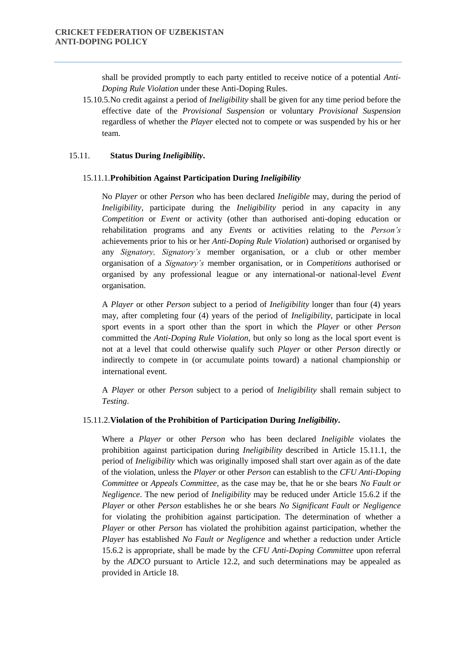shall be provided promptly to each party entitled to receive notice of a potential *Anti-Doping Rule Violation* under these Anti-Doping Rules.

15.10.5.No credit against a period of *Ineligibility* shall be given for any time period before the effective date of the *Provisional Suspension* or voluntary *Provisional Suspension*  regardless of whether the *Player* elected not to compete or was suspended by his or her team.

#### 15.11. **Status During** *Ineligibility***.**

#### 15.11.1.**Prohibition Against Participation During** *Ineligibility*

No *Player* or other *Person* who has been declared *Ineligible* may, during the period of *Ineligibility*, participate during the *Ineligibility* period in any capacity in any *Competition* or *Event* or activity (other than authorised anti-doping education or rehabilitation programs and any *Events* or activities relating to the *Person's* achievements prior to his or her *Anti-Doping Rule Violation*) authorised or organised by any *Signatory, Signatory's* member organisation, or a club or other member organisation of a *Signatory's* member organisation, or in *Competitions* authorised or organised by any professional league or any international-or national-level *Event*  organisation.

A *Player* or other *Person* subject to a period of *Ineligibility* longer than four (4) years may, after completing four (4) years of the period of *Ineligibility*, participate in local sport events in a sport other than the sport in which the *Player* or other *Person* committed the *Anti-Doping Rule Violation*, but only so long as the local sport event is not at a level that could otherwise qualify such *Player* or other *Person* directly or indirectly to compete in (or accumulate points toward) a national championship or international event.

A *Player* or other *Person* subject to a period of *Ineligibility* shall remain subject to *Testing*.

#### 15.11.2.**Violation of the Prohibition of Participation During** *Ineligibility***.**

Where a *Player* or other *Person* who has been declared *Ineligible* violates the prohibition against participation during *Ineligibility* described in Article 15.11.1, the period of *Ineligibility* which was originally imposed shall start over again as of the date of the violation, unless the *Player* or other *Person* can establish to the *CFU Anti-Doping Committee* or *Appeals Committee*, as the case may be, that he or she bears *No Fault or Negligence*. The new period of *Ineligibility* may be reduced under Article 15.6.2 if the *Player* or other *Person* establishes he or she bears *No Significant Fault or Negligence*  for violating the prohibition against participation. The determination of whether a *Player* or other *Person* has violated the prohibition against participation, whether the *Player* has established *No Fault or Negligence* and whether a reduction under Article 15.6.2 is appropriate, shall be made by the *CFU Anti-Doping Committee* upon referral by the *ADCO* pursuant to Article 12.2, and such determinations may be appealed as provided in Article 18.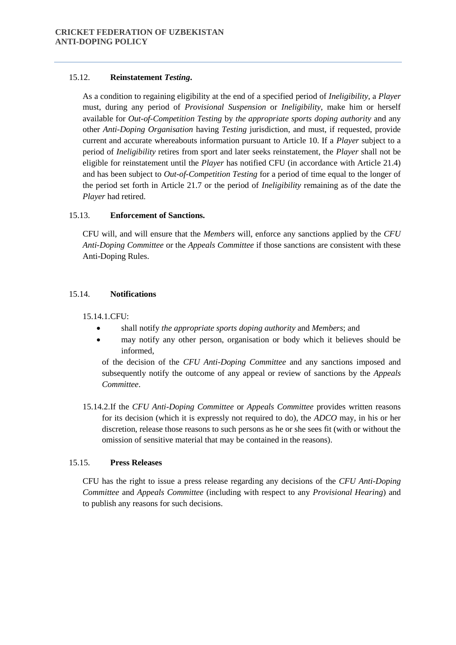## 15.12. **Reinstatement** *Testing***.**

As a condition to regaining eligibility at the end of a specified period of *Ineligibility*, a *Player*  must, during any period of *Provisional Suspension* or *Ineligibility*, make him or herself available for *Out-of-Competition Testing* by *the appropriate sports doping authority* and any other *Anti-Doping Organisation* having *Testing* jurisdiction, and must, if requested, provide current and accurate whereabouts information pursuant to Article 10. If a *Player* subject to a period of *Ineligibility* retires from sport and later seeks reinstatement, the *Player* shall not be eligible for reinstatement until the *Player* has notified CFU (in accordance with Article 21.4) and has been subject to *Out-of-Competition Testing* for a period of time equal to the longer of the period set forth in Article 21.7 or the period of *Ineligibility* remaining as of the date the *Player* had retired.

# 15.13. **Enforcement of Sanctions.**

CFU will, and will ensure that the *Members* will, enforce any sanctions applied by the *CFU Anti-Doping Committee* or the *Appeals Committee* if those sanctions are consistent with these Anti-Doping Rules.

# 15.14. **Notifications**

15.14.1.CFU:

- shall notify *the appropriate sports doping authority* and *Members*; and
- may notify any other person, organisation or body which it believes should be informed,

of the decision of the *CFU Anti-Doping Committee* and any sanctions imposed and subsequently notify the outcome of any appeal or review of sanctions by the *Appeals Committee*.

15.14.2.If the *CFU Anti-Doping Committee* or *Appeals Committee* provides written reasons for its decision (which it is expressly not required to do), the *ADCO* may, in his or her discretion, release those reasons to such persons as he or she sees fit (with or without the omission of sensitive material that may be contained in the reasons).

# 15.15. **Press Releases**

CFU has the right to issue a press release regarding any decisions of the *CFU Anti-Doping Committee* and *Appeals Committee* (including with respect to any *Provisional Hearing*) and to publish any reasons for such decisions.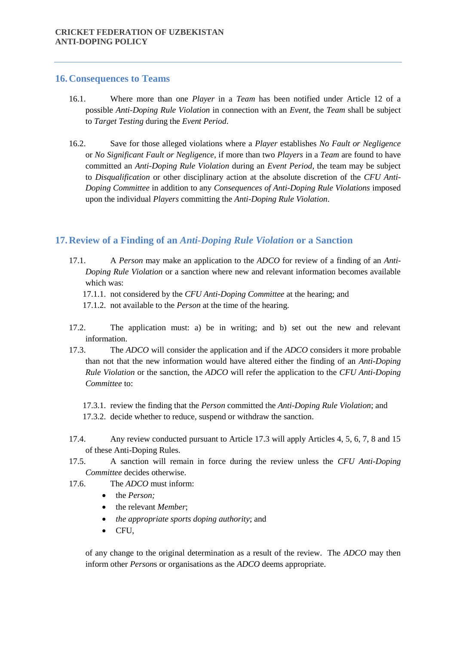## **16.Consequences to Teams**

- 16.1. Where more than one *Player* in a *Team* has been notified under Article 12 of a possible *Anti-Doping Rule Violation* in connection with an *Event*, the *Team* shall be subject to *Target Testing* during the *Event Period*.
- 16.2. Save for those alleged violations where a *Player* establishes *No Fault or Negligence* or *No Significant Fault or Negligence*, if more than two *Players* in a *Team* are found to have committed an *Anti-Doping Rule Violation* during an *Event Period*, the team may be subject to *Disqualification* or other disciplinary action at the absolute discretion of the *CFU Anti-Doping Committee* in addition to any *Consequences of Anti-Doping Rule Violations* imposed upon the individual *Players* committing the *Anti-Doping Rule Violation*.

# **17.Review of a Finding of an** *Anti-Doping Rule Violation* **or a Sanction**

- 17.1. A *Person* may make an application to the *ADCO* for review of a finding of an *Anti-Doping Rule Violation* or a sanction where new and relevant information becomes available which was:
	- 17.1.1. not considered by the *CFU Anti-Doping Committee* at the hearing; and
	- 17.1.2. not available to the *Person* at the time of the hearing.
- 17.2. The application must: a) be in writing; and b) set out the new and relevant information.
- 17.3. The *ADCO* will consider the application and if the *ADCO* considers it more probable than not that the new information would have altered either the finding of an *Anti-Doping Rule Violation* or the sanction, the *ADCO* will refer the application to the *CFU Anti-Doping Committee* to:
	- 17.3.1. review the finding that the *Person* committed the *Anti-Doping Rule Violation*; and
	- 17.3.2. decide whether to reduce, suspend or withdraw the sanction.
- 17.4. Any review conducted pursuant to Article 17.3 will apply Articles 4, 5, 6, 7, 8 and 15 of these Anti-Doping Rules.
- 17.5. A sanction will remain in force during the review unless the *CFU Anti-Doping Committee* decides otherwise.
- 17.6. The *ADCO* must inform:
	- the *Person;*
	- the relevant *Member*;
	- *the appropriate sports doping authority*; and
	- CFU,

of any change to the original determination as a result of the review. The *ADCO* may then inform other *Person*s or organisations as the *ADCO* deems appropriate.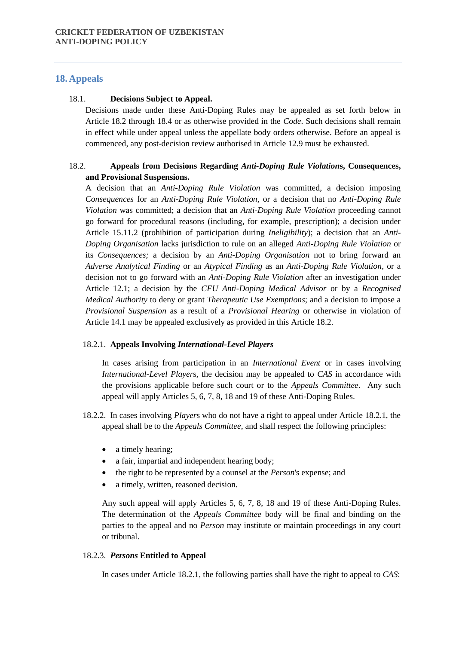# **18.Appeals**

#### 18.1. **Decisions Subject to Appeal.**

Decisions made under these Anti-Doping Rules may be appealed as set forth below in Article 18.2 through 18.4 or as otherwise provided in the *Code*. Such decisions shall remain in effect while under appeal unless the appellate body orders otherwise. Before an appeal is commenced, any post-decision review authorised in Article 12.9 must be exhausted.

# 18.2. **Appeals from Decisions Regarding** *Anti-Doping Rule Violation***s, Consequences, and Provisional Suspensions.**

A decision that an *Anti-Doping Rule Violation* was committed, a decision imposing *Consequences* for an *Anti-Doping Rule Violation*, or a decision that no *Anti-Doping Rule Violation* was committed; a decision that an *Anti-Doping Rule Violation* proceeding cannot go forward for procedural reasons (including, for example, prescription); a decision under Article 15.11.2 (prohibition of participation during *Ineligibility*); a decision that an *Anti-Doping Organisation* lacks jurisdiction to rule on an alleged *Anti-Doping Rule Violation* or its *Consequences;* a decision by an *Anti-Doping Organisation* not to bring forward an *Adverse Analytical Finding* or an *Atypical Finding* as an *Anti-Doping Rule Violation*, or a decision not to go forward with an *Anti-Doping Rule Violation* after an investigation under Article 12.1; a decision by the *CFU Anti-Doping Medical Advisor* or by a *Recognised Medical Authority* to deny or grant *Therapeutic Use Exemptions*; and a decision to impose a *Provisional Suspension* as a result of a *Provisional Hearing* or otherwise in violation of Article 14.1 may be appealed exclusively as provided in this Article 18.2.

#### 18.2.1. **Appeals Involving** *International-Level Players*

In cases arising from participation in an *International Event* or in cases involving *International-Level Player*s, the decision may be appealed to *CAS* in accordance with the provisions applicable before such court or to the *Appeals Committee*. Any such appeal will apply Articles 5, 6, 7, 8, 18 and 19 of these Anti-Doping Rules.

- 18.2.2. In cases involving *Player*s who do not have a right to appeal under Article 18.2.1, the appeal shall be to the *Appeals Committee*, and shall respect the following principles:
	- a timely hearing;
	- a fair, impartial and independent hearing body;
	- the right to be represented by a counsel at the *Person*'s expense; and
	- a timely, written, reasoned decision.

Any such appeal will apply Articles 5, 6, 7, 8, 18 and 19 of these Anti-Doping Rules. The determination of the *Appeals Committee* body will be final and binding on the parties to the appeal and no *Person* may institute or maintain proceedings in any court or tribunal.

#### 18.2.3. *Persons* **Entitled to Appeal**

In cases under Article 18.2.1, the following parties shall have the right to appeal to *CAS*: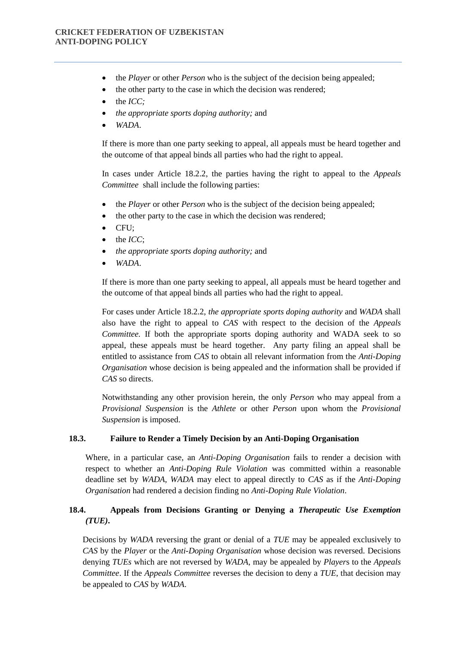- the *Player* or other *Person* who is the subject of the decision being appealed;
- the other party to the case in which the decision was rendered;
- $\bullet$  the *ICC*:
- *the appropriate sports doping authority;* and
- *WADA*.

If there is more than one party seeking to appeal, all appeals must be heard together and the outcome of that appeal binds all parties who had the right to appeal.

In cases under Article 18.2.2, the parties having the right to appeal to the *Appeals Committee* shall include the following parties:

- the *Player* or other *Person* who is the subject of the decision being appealed;
- the other party to the case in which the decision was rendered;
- $\bullet$  CFU:
- $\bullet$  the *ICC*:
- *the appropriate sports doping authority;* and
- *WADA*.

If there is more than one party seeking to appeal, all appeals must be heard together and the outcome of that appeal binds all parties who had the right to appeal.

For cases under Article 18.2.2, *the appropriate sports doping authority* and *WADA* shall also have the right to appeal to *CAS* with respect to the decision of the *Appeals Committee.* If both the appropriate sports doping authority and WADA seek to so appeal, these appeals must be heard together. Any party filing an appeal shall be entitled to assistance from *CAS* to obtain all relevant information from the *Anti-Doping Organisation* whose decision is being appealed and the information shall be provided if *CAS* so directs.

Notwithstanding any other provision herein, the only *Person* who may appeal from a *Provisional Suspension* is the *Athlete* or other *Person* upon whom the *Provisional Suspension* is imposed.

## **18.3. Failure to Render a Timely Decision by an Anti-Doping Organisation**

Where, in a particular case, an *Anti-Doping Organisation* fails to render a decision with respect to whether an *Anti-Doping Rule Violation* was committed within a reasonable deadline set by *WADA, WADA* may elect to appeal directly to *CAS* as if the *Anti-Doping Organisation* had rendered a decision finding no *Anti-Doping Rule Violation*.

# **18.4. Appeals from Decisions Granting or Denying a** *Therapeutic Use Exemption (TUE)***.**

Decisions by *WADA* reversing the grant or denial of a *TUE* may be appealed exclusively to *CAS* by the *Player* or the *Anti-Doping Organisation* whose decision was reversed. Decisions denying *TUEs* which are not reversed by *WADA*, may be appealed by *Player*s to the *Appeals Committee*. If the *Appeals Committee* reverses the decision to deny a *TUE*, that decision may be appealed to *CAS* by *WADA*.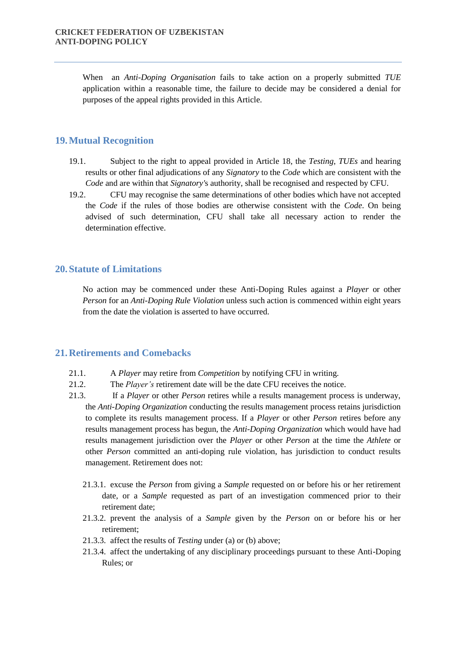When an *Anti-Doping Organisation* fails to take action on a properly submitted *TUE* application within a reasonable time, the failure to decide may be considered a denial for purposes of the appeal rights provided in this Article.

# **19.Mutual Recognition**

- 19.1. Subject to the right to appeal provided in Article 18, the *Testing*, *TUEs* and hearing results or other final adjudications of any *Signatory* to the *Code* which are consistent with the *Code* and are within that *Signatory'*s authority, shall be recognised and respected by CFU.
- 19.2. CFU may recognise the same determinations of other bodies which have not accepted the *Code* if the rules of those bodies are otherwise consistent with the *Code*. On being advised of such determination, CFU shall take all necessary action to render the determination effective.

# **20.Statute of Limitations**

No action may be commenced under these Anti-Doping Rules against a *Player* or other *Person* for an *Anti-Doping Rule Violation* unless such action is commenced within eight years from the date the violation is asserted to have occurred.

## **21.Retirements and Comebacks**

- 21.1. A *Player* may retire from *Competition* by notifying CFU in writing.
- 21.2. The *Player's* retirement date will be the date CFU receives the notice.
- 21.3. If a *Player* or other *Person* retires while a results management process is underway, the *Anti-Doping Organization* conducting the results management process retains jurisdiction to complete its results management process. If a *Player* or other *Person* retires before any results management process has begun, the *Anti-Doping Organization* which would have had results management jurisdiction over the *Player* or other *Person* at the time the *Athlete* or other *Person* committed an anti-doping rule violation, has jurisdiction to conduct results management. Retirement does not:
	- 21.3.1. excuse the *Person* from giving a *Sample* requested on or before his or her retirement date, or a *Sample* requested as part of an investigation commenced prior to their retirement date;
	- 21.3.2. prevent the analysis of a *Sample* given by the *Person* on or before his or her retirement;
	- 21.3.3. affect the results of *Testing* under (a) or (b) above;
	- 21.3.4. affect the undertaking of any disciplinary proceedings pursuant to these Anti-Doping Rules; or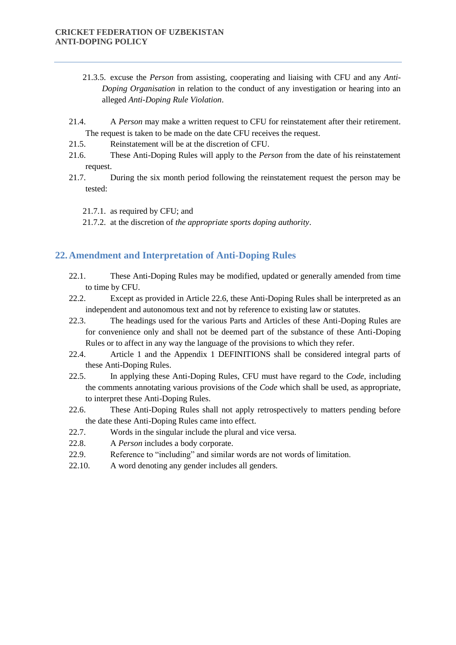- 21.3.5. excuse the *Person* from assisting, cooperating and liaising with CFU and any *Anti-Doping Organisation* in relation to the conduct of any investigation or hearing into an alleged *Anti-Doping Rule Violation*.
- 21.4. A *Person* may make a written request to CFU for reinstatement after their retirement. The request is taken to be made on the date CFU receives the request.
- 21.5. Reinstatement will be at the discretion of CFU.
- 21.6. These Anti-Doping Rules will apply to the *Person* from the date of his reinstatement request.
- 21.7. During the six month period following the reinstatement request the person may be tested:
	- 21.7.1. as required by CFU; and
	- 21.7.2. at the discretion of *the appropriate sports doping authority*.

# **22.Amendment and Interpretation of Anti-Doping Rules**

- 22.1. These Anti-Doping Rules may be modified, updated or generally amended from time to time by CFU.
- 22.2. Except as provided in Article 22.6, these Anti-Doping Rules shall be interpreted as an independent and autonomous text and not by reference to existing law or statutes.
- 22.3. The headings used for the various Parts and Articles of these Anti-Doping Rules are for convenience only and shall not be deemed part of the substance of these Anti-Doping Rules or to affect in any way the language of the provisions to which they refer.
- 22.4. Article 1 and the Appendix 1 DEFINITIONS shall be considered integral parts of these Anti-Doping Rules.
- 22.5. In applying these Anti-Doping Rules, CFU must have regard to the *Code*, including the comments annotating various provisions of the *Code* which shall be used, as appropriate, to interpret these Anti-Doping Rules.
- 22.6. These Anti-Doping Rules shall not apply retrospectively to matters pending before the date these Anti-Doping Rules came into effect.
- 22.7. Words in the singular include the plural and vice versa.
- 22.8. A *Person* includes a body corporate.
- 22.9. Reference to "including" and similar words are not words of limitation.
- 22.10. A word denoting any gender includes all genders.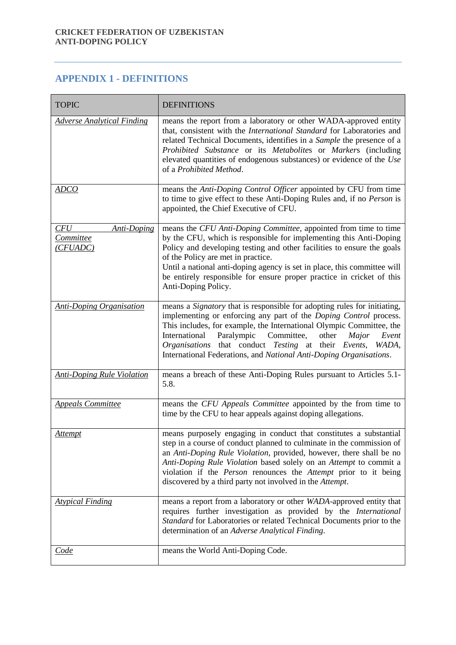# **APPENDIX 1 - DEFINITIONS**

| <b>TOPIC</b>                                              | <b>DEFINITIONS</b>                                                                                                                                                                                                                                                                                                                                                                                                                   |
|-----------------------------------------------------------|--------------------------------------------------------------------------------------------------------------------------------------------------------------------------------------------------------------------------------------------------------------------------------------------------------------------------------------------------------------------------------------------------------------------------------------|
| <b>Adverse Analytical Finding</b>                         | means the report from a laboratory or other WADA-approved entity<br>that, consistent with the <i>International Standard</i> for Laboratories and<br>related Technical Documents, identifies in a Sample the presence of a<br>Prohibited Substance or its Metabolites or Markers (including<br>elevated quantities of endogenous substances) or evidence of the Use<br>of a Prohibited Method.                                        |
| <b>ADCO</b>                                               | means the Anti-Doping Control Officer appointed by CFU from time<br>to time to give effect to these Anti-Doping Rules and, if no Person is<br>appointed, the Chief Executive of CFU.                                                                                                                                                                                                                                                 |
| CFU<br><b>Anti-Doping</b><br><b>Committee</b><br>(CFUADC) | means the CFU Anti-Doping Committee, appointed from time to time<br>by the CFU, which is responsible for implementing this Anti-Doping<br>Policy and developing testing and other facilities to ensure the goals<br>of the Policy are met in practice.<br>Until a national anti-doping agency is set in place, this committee will<br>be entirely responsible for ensure proper practice in cricket of this<br>Anti-Doping Policy.   |
| <b>Anti-Doping Organisation</b>                           | means a Signatory that is responsible for adopting rules for initiating,<br>implementing or enforcing any part of the Doping Control process.<br>This includes, for example, the International Olympic Committee, the<br>International<br>Paralympic<br>Committee,<br>other<br>Event<br>Major<br>Organisations that conduct Testing at their Events,<br>WADA,<br>International Federations, and National Anti-Doping Organisations.  |
| <b>Anti-Doping Rule Violation</b>                         | means a breach of these Anti-Doping Rules pursuant to Articles 5.1-<br>5.8.                                                                                                                                                                                                                                                                                                                                                          |
| <b>Appeals Committee</b>                                  | means the CFU Appeals Committee appointed by the from time to<br>time by the CFU to hear appeals against doping allegations.                                                                                                                                                                                                                                                                                                         |
| <u>Attempt</u>                                            | means purposely engaging in conduct that constitutes a substantial<br>step in a course of conduct planned to culminate in the commission of<br>an Anti-Doping Rule Violation, provided, however, there shall be no<br>Anti-Doping Rule Violation based solely on an Attempt to commit a<br>violation if the <i>Person</i> renounces the <i>Attempt</i> prior to it being<br>discovered by a third party not involved in the Attempt. |
| <b>Atypical Finding</b>                                   | means a report from a laboratory or other WADA-approved entity that<br>requires further investigation as provided by the International<br>Standard for Laboratories or related Technical Documents prior to the<br>determination of an Adverse Analytical Finding.                                                                                                                                                                   |
| <u>Code</u>                                               | means the World Anti-Doping Code.                                                                                                                                                                                                                                                                                                                                                                                                    |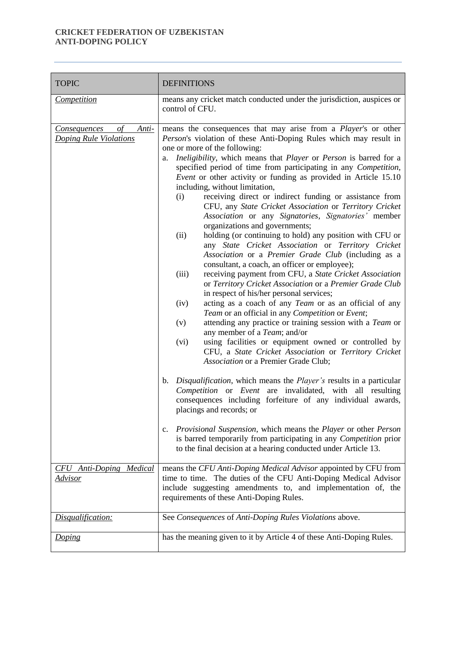| <b>TOPIC</b>                                          | <b>DEFINITIONS</b>                                                                                                                                                                                                                                                                                                                                                                                                                                                                                                                                                                                                                                                                                                                                                                                                                                                                                                                                                                                                                                                                                                                                                                                                                                                                                                                                                                                                                                                                                                                                                                                                                                                                                                                                                                                                                                                                                                                                  |
|-------------------------------------------------------|-----------------------------------------------------------------------------------------------------------------------------------------------------------------------------------------------------------------------------------------------------------------------------------------------------------------------------------------------------------------------------------------------------------------------------------------------------------------------------------------------------------------------------------------------------------------------------------------------------------------------------------------------------------------------------------------------------------------------------------------------------------------------------------------------------------------------------------------------------------------------------------------------------------------------------------------------------------------------------------------------------------------------------------------------------------------------------------------------------------------------------------------------------------------------------------------------------------------------------------------------------------------------------------------------------------------------------------------------------------------------------------------------------------------------------------------------------------------------------------------------------------------------------------------------------------------------------------------------------------------------------------------------------------------------------------------------------------------------------------------------------------------------------------------------------------------------------------------------------------------------------------------------------------------------------------------------------|
| Competition                                           | means any cricket match conducted under the jurisdiction, auspices or<br>control of CFU.                                                                                                                                                                                                                                                                                                                                                                                                                                                                                                                                                                                                                                                                                                                                                                                                                                                                                                                                                                                                                                                                                                                                                                                                                                                                                                                                                                                                                                                                                                                                                                                                                                                                                                                                                                                                                                                            |
| of<br>Consequences<br>Anti-<br>Doping Rule Violations | means the consequences that may arise from a Player's or other<br>Person's violation of these Anti-Doping Rules which may result in<br>one or more of the following:<br>Ineligibility, which means that Player or Person is barred for a<br>a.<br>specified period of time from participating in any Competition,<br>Event or other activity or funding as provided in Article 15.10<br>including, without limitation,<br>receiving direct or indirect funding or assistance from<br>(i)<br>CFU, any State Cricket Association or Territory Cricket<br>Association or any Signatories, Signatories' member<br>organizations and governments;<br>(ii)<br>holding (or continuing to hold) any position with CFU or<br>any State Cricket Association or Territory Cricket<br>Association or a Premier Grade Club (including as a<br>consultant, a coach, an officer or employee);<br>receiving payment from CFU, a State Cricket Association<br>(iii)<br>or Territory Cricket Association or a Premier Grade Club<br>in respect of his/her personal services;<br>acting as a coach of any Team or as an official of any<br>(iv)<br>Team or an official in any Competition or Event;<br>attending any practice or training session with a Team or<br>(v)<br>any member of a <i>Team</i> ; and/or<br>using facilities or equipment owned or controlled by<br>(vi)<br>CFU, a State Cricket Association or Territory Cricket<br>Association or a Premier Grade Club;<br><i>Disqualification</i> , which means the <i>Player's</i> results in a particular<br>$\mathbf{b}$ .<br>Competition or Event are invalidated, with all resulting<br>consequences including forfeiture of any individual awards,<br>placings and records; or<br>Provisional Suspension, which means the Player or other Person<br>$c_{\cdot}$<br>is barred temporarily from participating in any Competition prior<br>to the final decision at a hearing conducted under Article 13. |
| <b>CFU</b> Anti-Doping Medical<br><u>Advisor</u>      | means the CFU Anti-Doping Medical Advisor appointed by CFU from<br>time to time. The duties of the CFU Anti-Doping Medical Advisor<br>include suggesting amendments to, and implementation of, the<br>requirements of these Anti-Doping Rules.                                                                                                                                                                                                                                                                                                                                                                                                                                                                                                                                                                                                                                                                                                                                                                                                                                                                                                                                                                                                                                                                                                                                                                                                                                                                                                                                                                                                                                                                                                                                                                                                                                                                                                      |
| Disqualification:                                     | See Consequences of Anti-Doping Rules Violations above.                                                                                                                                                                                                                                                                                                                                                                                                                                                                                                                                                                                                                                                                                                                                                                                                                                                                                                                                                                                                                                                                                                                                                                                                                                                                                                                                                                                                                                                                                                                                                                                                                                                                                                                                                                                                                                                                                             |
| <b>Doping</b>                                         | has the meaning given to it by Article 4 of these Anti-Doping Rules.                                                                                                                                                                                                                                                                                                                                                                                                                                                                                                                                                                                                                                                                                                                                                                                                                                                                                                                                                                                                                                                                                                                                                                                                                                                                                                                                                                                                                                                                                                                                                                                                                                                                                                                                                                                                                                                                                |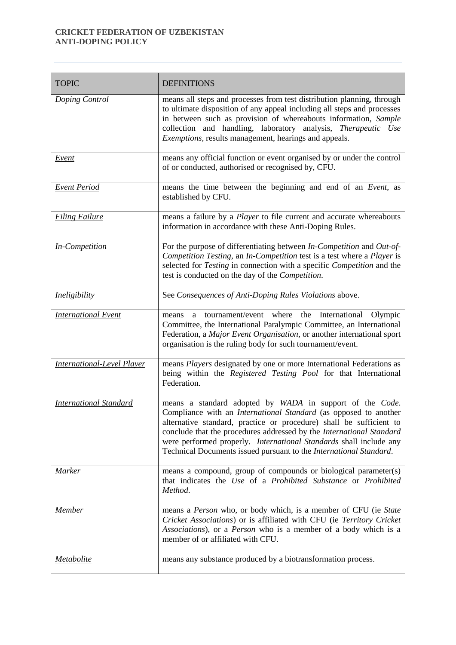| <b>TOPIC</b>                      | <b>DEFINITIONS</b>                                                                                                                                                                                                                                                                                                                                                                                                             |
|-----------------------------------|--------------------------------------------------------------------------------------------------------------------------------------------------------------------------------------------------------------------------------------------------------------------------------------------------------------------------------------------------------------------------------------------------------------------------------|
| Doping Control                    | means all steps and processes from test distribution planning, through<br>to ultimate disposition of any appeal including all steps and processes<br>in between such as provision of whereabouts information, Sample<br>collection and handling, laboratory analysis, Therapeutic Use<br><i>Exemptions</i> , results management, hearings and appeals.                                                                         |
| Event                             | means any official function or event organised by or under the control<br>of or conducted, authorised or recognised by, CFU.                                                                                                                                                                                                                                                                                                   |
| <b>Event Period</b>               | means the time between the beginning and end of an Event, as<br>established by CFU.                                                                                                                                                                                                                                                                                                                                            |
| <b>Filing Failure</b>             | means a failure by a <i>Player</i> to file current and accurate whereabouts<br>information in accordance with these Anti-Doping Rules.                                                                                                                                                                                                                                                                                         |
| In-Competition                    | For the purpose of differentiating between In-Competition and Out-of-<br>Competition Testing, an In-Competition test is a test where a Player is<br>selected for Testing in connection with a specific Competition and the<br>test is conducted on the day of the Competition.                                                                                                                                                 |
| <i>Ineligibility</i>              | See Consequences of Anti-Doping Rules Violations above.                                                                                                                                                                                                                                                                                                                                                                        |
| <b>International Event</b>        | tournament/event where the International<br>Olympic<br>means<br>a.<br>Committee, the International Paralympic Committee, an International<br>Federation, a Major Event Organisation, or another international sport<br>organisation is the ruling body for such tournament/event.                                                                                                                                              |
| <b>International-Level Player</b> | means Players designated by one or more International Federations as<br>being within the Registered Testing Pool for that International<br>Federation.                                                                                                                                                                                                                                                                         |
| <b>International Standard</b>     | means a standard adopted by WADA in support of the Code.<br>Compliance with an <i>International Standard</i> (as opposed to another<br>alternative standard, practice or procedure) shall be sufficient to<br>conclude that the procedures addressed by the International Standard<br>were performed properly. International Standards shall include any<br>Technical Documents issued pursuant to the International Standard. |
| Marker                            | means a compound, group of compounds or biological parameter(s)<br>that indicates the Use of a Prohibited Substance or Prohibited<br>Method.                                                                                                                                                                                                                                                                                   |
| Member                            | means a Person who, or body which, is a member of CFU (ie State<br>Cricket Associations) or is affiliated with CFU (ie Territory Cricket<br>Associations), or a Person who is a member of a body which is a<br>member of or affiliated with CFU.                                                                                                                                                                               |
| <i><u>Metabolite</u></i>          | means any substance produced by a biotransformation process.                                                                                                                                                                                                                                                                                                                                                                   |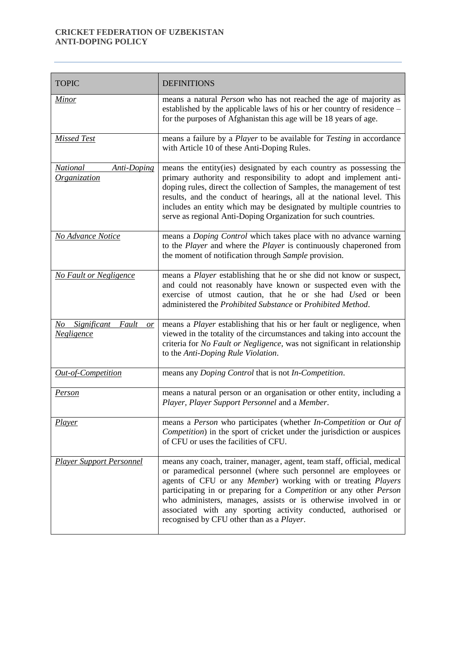| <b>TOPIC</b>                                          | <b>DEFINITIONS</b>                                                                                                                                                                                                                                                                                                                                                                                                                                                    |
|-------------------------------------------------------|-----------------------------------------------------------------------------------------------------------------------------------------------------------------------------------------------------------------------------------------------------------------------------------------------------------------------------------------------------------------------------------------------------------------------------------------------------------------------|
| <b>Minor</b>                                          | means a natural Person who has not reached the age of majority as<br>established by the applicable laws of his or her country of residence -<br>for the purposes of Afghanistan this age will be 18 years of age.                                                                                                                                                                                                                                                     |
| <b>Missed Test</b>                                    | means a failure by a <i>Player</i> to be available for <i>Testing</i> in accordance<br>with Article 10 of these Anti-Doping Rules.                                                                                                                                                                                                                                                                                                                                    |
| <b>National</b><br>Anti-Doping<br><b>Organization</b> | means the entity(ies) designated by each country as possessing the<br>primary authority and responsibility to adopt and implement anti-<br>doping rules, direct the collection of Samples, the management of test<br>results, and the conduct of hearings, all at the national level. This<br>includes an entity which may be designated by multiple countries to<br>serve as regional Anti-Doping Organization for such countries.                                   |
| No Advance Notice                                     | means a Doping Control which takes place with no advance warning<br>to the <i>Player</i> and where the <i>Player</i> is continuously chaperoned from<br>the moment of notification through Sample provision.                                                                                                                                                                                                                                                          |
| <b>No Fault or Negligence</b>                         | means a Player establishing that he or she did not know or suspect,<br>and could not reasonably have known or suspected even with the<br>exercise of utmost caution, that he or she had Used or been<br>administered the Prohibited Substance or Prohibited Method.                                                                                                                                                                                                   |
| No Significant<br>Fault<br>or<br><b>Negligence</b>    | means a <i>Player</i> establishing that his or her fault or negligence, when<br>viewed in the totality of the circumstances and taking into account the<br>criteria for No Fault or Negligence, was not significant in relationship<br>to the Anti-Doping Rule Violation.                                                                                                                                                                                             |
| Out-of-Competition                                    | means any <i>Doping Control</i> that is not <i>In-Competition</i> .                                                                                                                                                                                                                                                                                                                                                                                                   |
| Person                                                | means a natural person or an organisation or other entity, including a<br>Player, Player Support Personnel and a Member.                                                                                                                                                                                                                                                                                                                                              |
| <i>Player</i>                                         | means a Person who participates (whether In-Competition or Out of<br>Competition) in the sport of cricket under the jurisdiction or auspices<br>of CFU or uses the facilities of CFU.                                                                                                                                                                                                                                                                                 |
| <b>Player Support Personnel</b>                       | means any coach, trainer, manager, agent, team staff, official, medical<br>or paramedical personnel (where such personnel are employees or<br>agents of CFU or any Member) working with or treating Players<br>participating in or preparing for a Competition or any other Person<br>who administers, manages, assists or is otherwise involved in or<br>associated with any sporting activity conducted, authorised or<br>recognised by CFU other than as a Player. |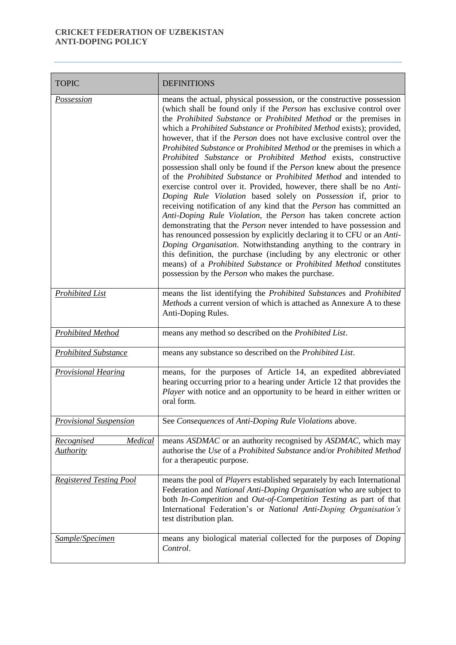| <b>TOPIC</b>                                            | <b>DEFINITIONS</b>                                                                                                                                                                                                                                                                                                                                                                                                                                                                                                                                                                                                                                                                                                                                                                                                                                                                                                                                                                                                                                                                                                                                                                                                                                                                                                                                                                          |
|---------------------------------------------------------|---------------------------------------------------------------------------------------------------------------------------------------------------------------------------------------------------------------------------------------------------------------------------------------------------------------------------------------------------------------------------------------------------------------------------------------------------------------------------------------------------------------------------------------------------------------------------------------------------------------------------------------------------------------------------------------------------------------------------------------------------------------------------------------------------------------------------------------------------------------------------------------------------------------------------------------------------------------------------------------------------------------------------------------------------------------------------------------------------------------------------------------------------------------------------------------------------------------------------------------------------------------------------------------------------------------------------------------------------------------------------------------------|
| <b>Possession</b>                                       | means the actual, physical possession, or the constructive possession<br>(which shall be found only if the <i>Person</i> has exclusive control over<br>the Prohibited Substance or Prohibited Method or the premises in<br>which a Prohibited Substance or Prohibited Method exists); provided,<br>however, that if the <i>Person</i> does not have exclusive control over the<br>Prohibited Substance or Prohibited Method or the premises in which a<br>Prohibited Substance or Prohibited Method exists, constructive<br>possession shall only be found if the <i>Person</i> knew about the presence<br>of the Prohibited Substance or Prohibited Method and intended to<br>exercise control over it. Provided, however, there shall be no Anti-<br>Doping Rule Violation based solely on Possession if, prior to<br>receiving notification of any kind that the Person has committed an<br>Anti-Doping Rule Violation, the Person has taken concrete action<br>demonstrating that the <i>Person</i> never intended to have possession and<br>has renounced possession by explicitly declaring it to CFU or an Anti-<br>Doping Organisation. Notwithstanding anything to the contrary in<br>this definition, the purchase (including by any electronic or other<br>means) of a Prohibited Substance or Prohibited Method constitutes<br>possession by the Person who makes the purchase. |
| <b>Prohibited List</b>                                  | means the list identifying the Prohibited Substances and Prohibited<br>Methods a current version of which is attached as Annexure A to these<br>Anti-Doping Rules.                                                                                                                                                                                                                                                                                                                                                                                                                                                                                                                                                                                                                                                                                                                                                                                                                                                                                                                                                                                                                                                                                                                                                                                                                          |
| <b>Prohibited Method</b>                                | means any method so described on the Prohibited List.                                                                                                                                                                                                                                                                                                                                                                                                                                                                                                                                                                                                                                                                                                                                                                                                                                                                                                                                                                                                                                                                                                                                                                                                                                                                                                                                       |
| <b>Prohibited Substance</b>                             | means any substance so described on the Prohibited List.                                                                                                                                                                                                                                                                                                                                                                                                                                                                                                                                                                                                                                                                                                                                                                                                                                                                                                                                                                                                                                                                                                                                                                                                                                                                                                                                    |
| <b>Provisional Hearing</b>                              | means, for the purposes of Article 14, an expedited abbreviated<br>hearing occurring prior to a hearing under Article 12 that provides the<br>Player with notice and an opportunity to be heard in either written or<br>oral form.                                                                                                                                                                                                                                                                                                                                                                                                                                                                                                                                                                                                                                                                                                                                                                                                                                                                                                                                                                                                                                                                                                                                                          |
| <b>Provisional Suspension</b>                           | See Consequences of Anti-Doping Rule Violations above.                                                                                                                                                                                                                                                                                                                                                                                                                                                                                                                                                                                                                                                                                                                                                                                                                                                                                                                                                                                                                                                                                                                                                                                                                                                                                                                                      |
| <b>Medical</b><br><b>Recognised</b><br><b>Authority</b> | means ASDMAC or an authority recognised by ASDMAC, which may<br>authorise the Use of a Prohibited Substance and/or Prohibited Method<br>for a therapeutic purpose.                                                                                                                                                                                                                                                                                                                                                                                                                                                                                                                                                                                                                                                                                                                                                                                                                                                                                                                                                                                                                                                                                                                                                                                                                          |
| <b>Registered Testing Pool</b>                          | means the pool of <i>Players</i> established separately by each International<br>Federation and National Anti-Doping Organisation who are subject to<br>both In-Competition and Out-of-Competition Testing as part of that<br>International Federation's or National Anti-Doping Organisation's<br>test distribution plan.                                                                                                                                                                                                                                                                                                                                                                                                                                                                                                                                                                                                                                                                                                                                                                                                                                                                                                                                                                                                                                                                  |
| Sample/Specimen                                         | means any biological material collected for the purposes of Doping<br>Control.                                                                                                                                                                                                                                                                                                                                                                                                                                                                                                                                                                                                                                                                                                                                                                                                                                                                                                                                                                                                                                                                                                                                                                                                                                                                                                              |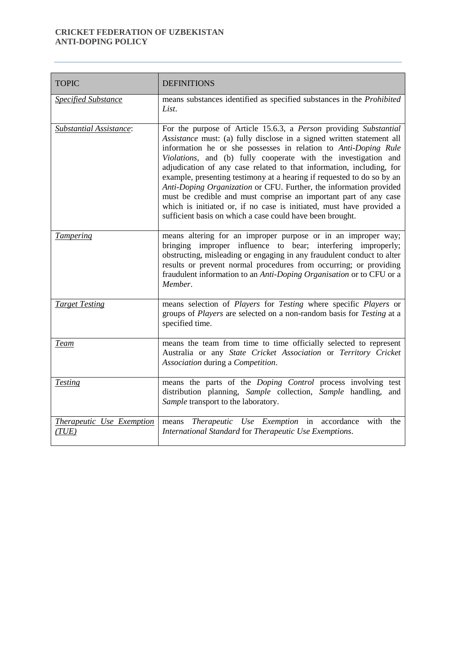| <b>TOPIC</b>                       | <b>DEFINITIONS</b>                                                                                                                                                                                                                                                                                                                                                                                                                                                                                                                                                                                                                                                                                               |
|------------------------------------|------------------------------------------------------------------------------------------------------------------------------------------------------------------------------------------------------------------------------------------------------------------------------------------------------------------------------------------------------------------------------------------------------------------------------------------------------------------------------------------------------------------------------------------------------------------------------------------------------------------------------------------------------------------------------------------------------------------|
| <b>Specified Substance</b>         | means substances identified as specified substances in the Prohibited<br>List.                                                                                                                                                                                                                                                                                                                                                                                                                                                                                                                                                                                                                                   |
| <b>Substantial Assistance:</b>     | For the purpose of Article 15.6.3, a Person providing Substantial<br>Assistance must: (a) fully disclose in a signed written statement all<br>information he or she possesses in relation to Anti-Doping Rule<br>Violations, and (b) fully cooperate with the investigation and<br>adjudication of any case related to that information, including, for<br>example, presenting testimony at a hearing if requested to do so by an<br>Anti-Doping Organization or CFU. Further, the information provided<br>must be credible and must comprise an important part of any case<br>which is initiated or, if no case is initiated, must have provided a<br>sufficient basis on which a case could have been brought. |
| <b>Tampering</b>                   | means altering for an improper purpose or in an improper way;<br>bringing improper influence to bear; interfering improperly;<br>obstructing, misleading or engaging in any fraudulent conduct to alter<br>results or prevent normal procedures from occurring; or providing<br>fraudulent information to an Anti-Doping Organisation or to CFU or a<br>Member.                                                                                                                                                                                                                                                                                                                                                  |
| <b>Target Testing</b>              | means selection of Players for Testing where specific Players or<br>groups of <i>Players</i> are selected on a non-random basis for <i>Testing</i> at a<br>specified time.                                                                                                                                                                                                                                                                                                                                                                                                                                                                                                                                       |
| <b>Team</b>                        | means the team from time to time officially selected to represent<br>Australia or any State Cricket Association or Territory Cricket<br>Association during a Competition.                                                                                                                                                                                                                                                                                                                                                                                                                                                                                                                                        |
| <b>Testing</b>                     | means the parts of the Doping Control process involving test<br>distribution planning, Sample collection, Sample handling, and<br>Sample transport to the laboratory.                                                                                                                                                                                                                                                                                                                                                                                                                                                                                                                                            |
| Therapeutic Use Exemption<br>(TUE) | Therapeutic Use Exemption in accordance<br>with<br>the<br>means<br>International Standard for Therapeutic Use Exemptions.                                                                                                                                                                                                                                                                                                                                                                                                                                                                                                                                                                                        |